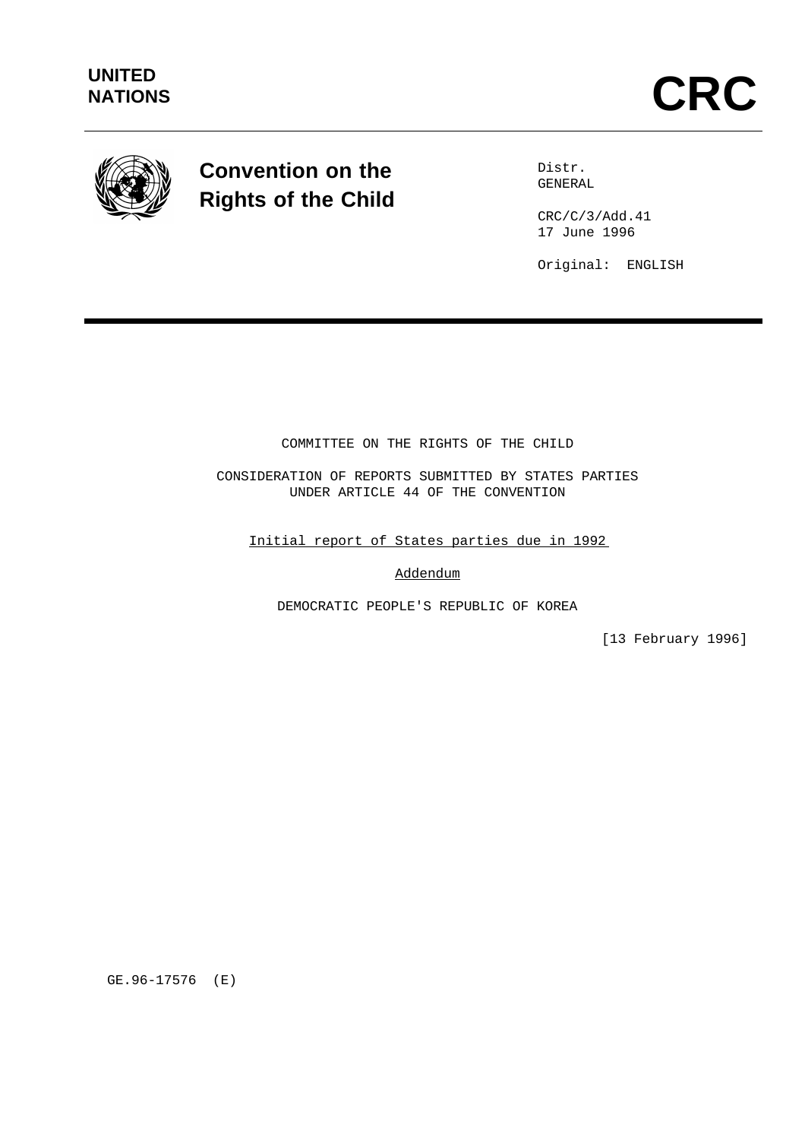

# **Convention on the Rights of the Child**

Distr. GENERAL

 $CRC/C/3/Add.41$ 17 June 1996

Original: ENGLISH

COMMITTEE ON THE RIGHTS OF THE CHILD

CONSIDERATION OF REPORTS SUBMITTED BY STATES PARTIES UNDER ARTICLE 44 OF THE CONVENTION

Initial report of States parties due in 1992

Addendum

DEMOCRATIC PEOPLE'S REPUBLIC OF KOREA

[13 February 1996]

GE.96-17576 (E)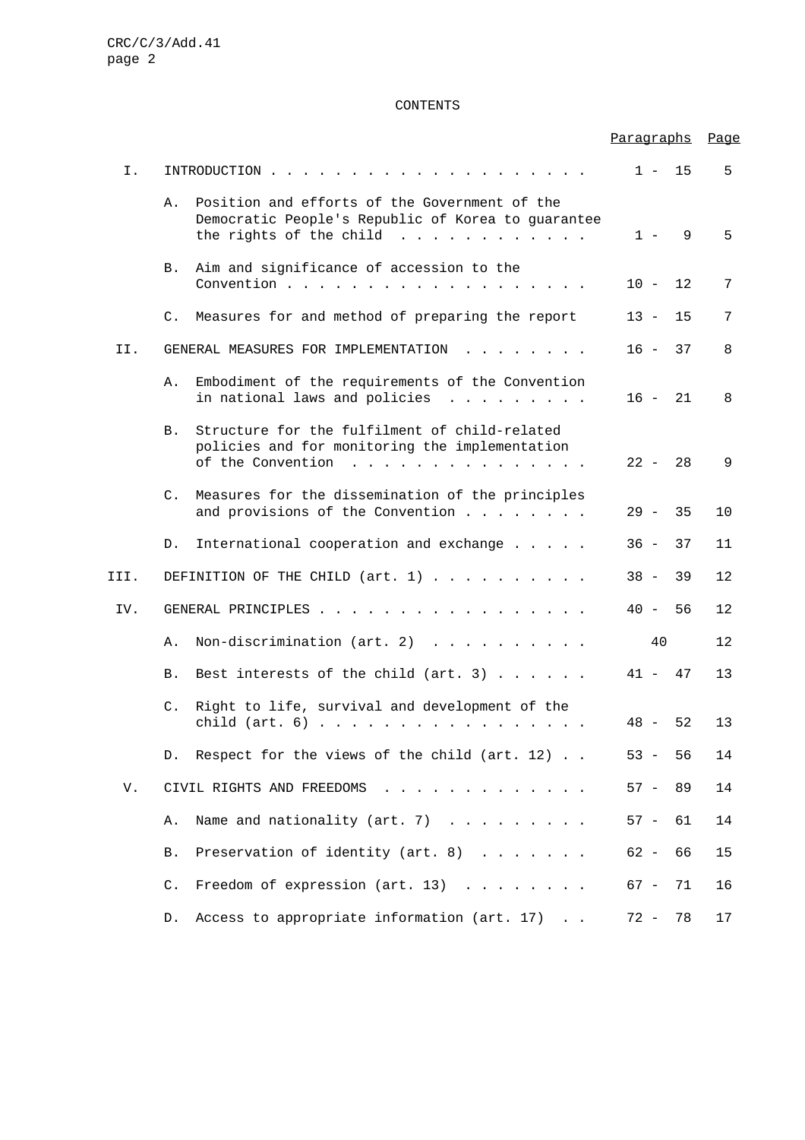# CONTENTS

|      |                |                                                                                                                                         | Paragraphs Page |    |    |
|------|----------------|-----------------------------------------------------------------------------------------------------------------------------------------|-----------------|----|----|
| Ι.   |                | INTRODUCTION<br>$\mathbf{r}$ , and $\mathbf{r}$ , and $\mathbf{r}$ , and $\mathbf{r}$ , and $\mathbf{r}$                                | $1 - 15$        |    | 5  |
|      | Α.             | Position and efforts of the Government of the<br>Democratic People's Republic of Korea to guarantee<br>the rights of the child $\ldots$ | $1 -$           | 9  | 5  |
|      | B.             | Aim and significance of accession to the                                                                                                | $10 -$          | 12 | 7  |
|      | C.             | Measures for and method of preparing the report                                                                                         | $13 -$          | 15 | 7  |
| II.  |                | GENERAL MEASURES FOR IMPLEMENTATION                                                                                                     | $16 -$          | 37 | 8  |
|      | Α.             | Embodiment of the requirements of the Convention<br>in national laws and policies                                                       | $16 - 21$       |    | 8  |
|      | <b>B.</b>      | Structure for the fulfilment of child-related<br>policies and for monitoring the implementation<br>of the Convention                    | $22 -$          | 28 | 9  |
|      | C.             | Measures for the dissemination of the principles<br>and provisions of the Convention                                                    | $29 -$          | 35 | 10 |
|      | D.             | International cooperation and exchange                                                                                                  | $36 -$          | 37 | 11 |
| III. |                | DEFINITION OF THE CHILD (art. 1)                                                                                                        | $38 -$          | 39 | 12 |
| IV.  |                | GENERAL PRINCIPLES                                                                                                                      | $40 -$          | 56 | 12 |
|      | Α.             | Non-discrimination (art. 2)                                                                                                             | 40              |    | 12 |
|      | B.             | Best interests of the child $(art. 3)$                                                                                                  | $41 -$          | 47 | 13 |
|      | C.             | Right to life, survival and development of the<br>child (art. $6)$                                                                      | $48 -$          | 52 | 13 |
|      | D.             | Respect for the views of the child $(\text{art. } 12)$                                                                                  | $53 -$          | 56 | 14 |
| V.   |                | CIVIL RIGHTS AND FREEDOMS<br>$\mathbf{r}$ , and $\mathbf{r}$ , and $\mathbf{r}$ , and $\mathbf{r}$ , and $\mathbf{r}$                   | $57 -$          | 89 | 14 |
|      | Α.             | Name and nationality (art. 7)                                                                                                           | $57 -$          | 61 | 14 |
|      | Β.             | Preservation of identity (art. 8)                                                                                                       | $62 -$          | 66 | 15 |
|      | $\mathsf{C}$ . | Freedom of expression (art. 13) $\ldots$ ,                                                                                              | $67 -$          | 71 | 16 |
|      | D.             | Access to appropriate information (art. 17)                                                                                             | 72 -            | 78 | 17 |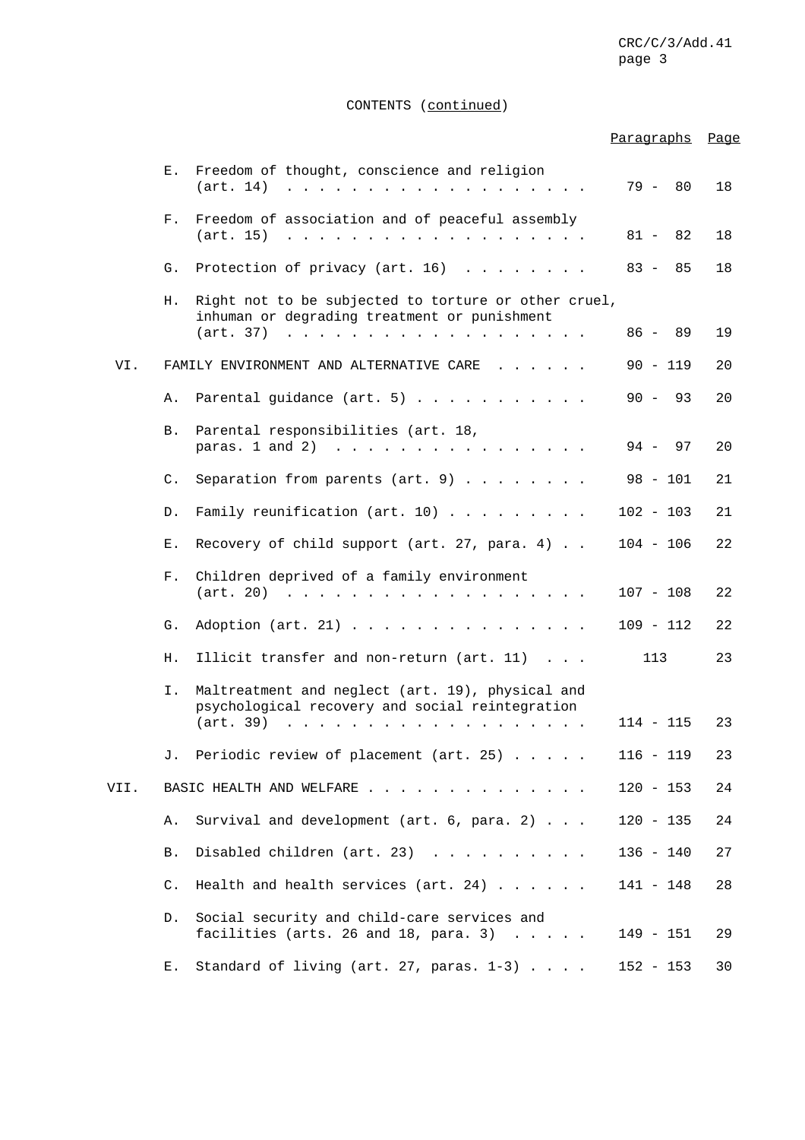# CONTENTS (continued)

|      |                |                                                                                                                              | Paragraphs   | <b>Page</b> |
|------|----------------|------------------------------------------------------------------------------------------------------------------------------|--------------|-------------|
|      | Е.             | Freedom of thought, conscience and religion<br>$(art. 14)        $                                                           | 79 - 80      | 18          |
|      | $F_{\infty}$   | Freedom of association and of peaceful assembly<br>$(\text{art. } 15)$                                                       | 82<br>81 -   | 18          |
|      | G.             | Protection of privacy (art. 16)                                                                                              | $83 -$<br>85 | 18          |
|      | Н.             | Right not to be subjected to torture or other cruel,<br>inhuman or degrading treatment or punishment<br>$(art. 37)         $ | $86 - 89$    | 19          |
| VI.  |                | FAMILY ENVIRONMENT AND ALTERNATIVE CARE $\ldots$                                                                             | $90 - 119$   | 20          |
|      | Α.             | Parental guidance (art. 5)                                                                                                   | $90 -$<br>93 | 20          |
|      | B.             | Parental responsibilities (art. 18,<br>paras. $1$ and $2$ )                                                                  | $94 - 97$    | 20          |
|      | $\mathsf{C}$ . | Separation from parents $(art. 9)$                                                                                           | $98 - 101$   | 21          |
|      | $D$ .          | Family reunification (art. 10)                                                                                               | $102 - 103$  | 21          |
|      | Е.             | Recovery of child support (art. 27, para. 4)                                                                                 | $104 - 106$  | 22          |
|      | F.             | Children deprived of a family environment                                                                                    | $107 - 108$  | 22          |
|      | G.             | Adoption $(\arct. 21)$                                                                                                       | $109 - 112$  | 22          |
|      | Η.             | Illicit transfer and non-return (art. 11)                                                                                    | 113          | 23          |
|      | Ι.             | Maltreatment and neglect (art. 19), physical and<br>psychological recovery and social reintegration<br>(art. 39)             | $114 - 115$  | 23          |
|      |                | J. Periodic review of placement (art. 25)                                                                                    | $116 - 119$  | 23          |
| VII. |                | BASIC HEALTH AND WELFARE                                                                                                     | $120 - 153$  | 24          |
|      | Α.             | Survival and development (art. 6, para. 2)                                                                                   | $120 - 135$  | 24          |
|      | Β.             | Disabled children (art. 23)                                                                                                  | $136 - 140$  | 27          |
|      |                |                                                                                                                              |              |             |
|      | C.             | Health and health services (art. 24) $\ldots$                                                                                | $141 - 148$  | 28          |
|      | $D$ .          | Social security and child-care services and<br>facilities (arts. 26 and 18, para. 3) $\ldots$ .                              | $149 - 151$  | 29          |
|      | Е.             | Standard of living (art. 27, paras. $1-3$ )                                                                                  | $152 - 153$  | 30          |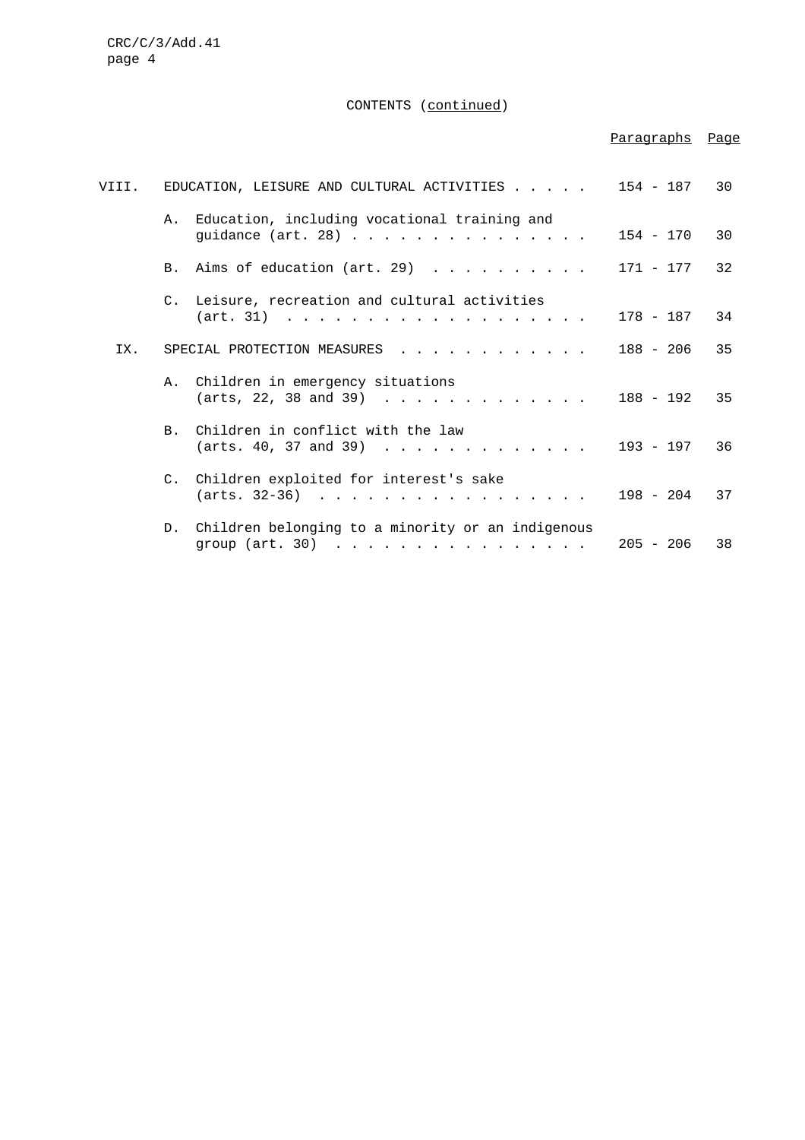# CONTENTS (continued)

# Paragraphs Page

| VIII. | EDUCATION, LEISURE AND CULTURAL ACTIVITIES                                  | 154 - 187   | 30 |
|-------|-----------------------------------------------------------------------------|-------------|----|
|       | A. Education, including vocational training and<br>quidance $(\arct. 28)$   | $154 - 170$ | 30 |
|       | B. Aims of education (art. 29) $\ldots$                                     | 171 - 177   | 32 |
|       | C. Leisure, recreation and cultural activities<br>$(\text{art. } 31)$       | $178 - 187$ | 34 |
| IX.   | SPECIAL PROTECTION MEASURES<br>.                                            | $188 - 206$ | 35 |
|       | A. Children in emergency situations<br>(arts, 22, 38 and 39) $\ldots$       | $188 - 192$ | 35 |
|       | B. Children in conflict with the law<br>(arts. 40, 37 and 39) $\ldots$      | $193 - 197$ | 36 |
|       | C. Children exploited for interest's sake<br>$(\text{arts. }32-36)$         | $198 - 204$ | 37 |
|       | D. Children belonging to a minority or an indigenous<br>group $(\arct. 30)$ | $205 - 206$ | 38 |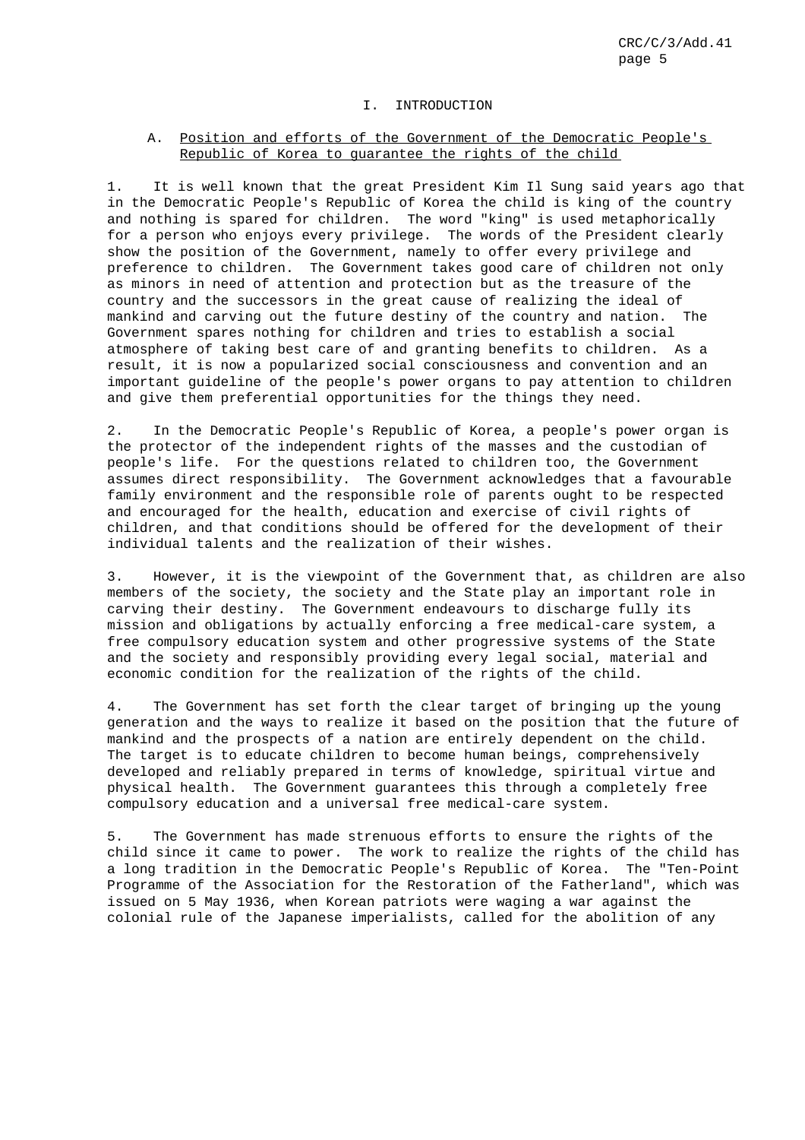#### I. INTRODUCTION

# A. Position and efforts of the Government of the Democratic People's Republic of Korea to guarantee the rights of the child

1. It is well known that the great President Kim Il Sung said years ago that in the Democratic People's Republic of Korea the child is king of the country and nothing is spared for children. The word "king" is used metaphorically for a person who enjoys every privilege. The words of the President clearly show the position of the Government, namely to offer every privilege and preference to children. The Government takes good care of children not only as minors in need of attention and protection but as the treasure of the country and the successors in the great cause of realizing the ideal of mankind and carving out the future destiny of the country and nation. The Government spares nothing for children and tries to establish a social atmosphere of taking best care of and granting benefits to children. As a result, it is now a popularized social consciousness and convention and an important guideline of the people's power organs to pay attention to children and give them preferential opportunities for the things they need.

2. In the Democratic People's Republic of Korea, a people's power organ is the protector of the independent rights of the masses and the custodian of people's life. For the questions related to children too, the Government assumes direct responsibility. The Government acknowledges that a favourable family environment and the responsible role of parents ought to be respected and encouraged for the health, education and exercise of civil rights of children, and that conditions should be offered for the development of their individual talents and the realization of their wishes.

3. However, it is the viewpoint of the Government that, as children are also members of the society, the society and the State play an important role in carving their destiny. The Government endeavours to discharge fully its mission and obligations by actually enforcing a free medical-care system, a free compulsory education system and other progressive systems of the State and the society and responsibly providing every legal social, material and economic condition for the realization of the rights of the child.

4. The Government has set forth the clear target of bringing up the young generation and the ways to realize it based on the position that the future of mankind and the prospects of a nation are entirely dependent on the child. The target is to educate children to become human beings, comprehensively developed and reliably prepared in terms of knowledge, spiritual virtue and physical health. The Government guarantees this through a completely free compulsory education and a universal free medical-care system.

5. The Government has made strenuous efforts to ensure the rights of the child since it came to power. The work to realize the rights of the child has a long tradition in the Democratic People's Republic of Korea. The "Ten-Point Programme of the Association for the Restoration of the Fatherland", which was issued on 5 May 1936, when Korean patriots were waging a war against the colonial rule of the Japanese imperialists, called for the abolition of any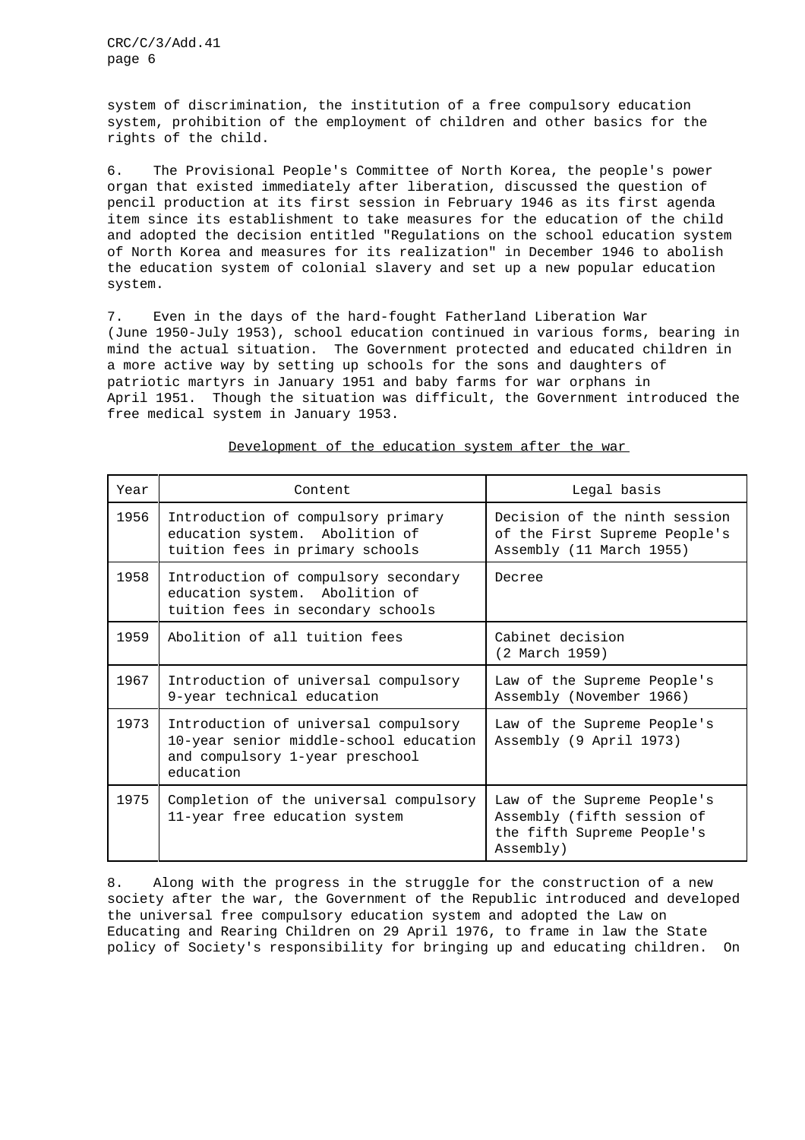system of discrimination, the institution of a free compulsory education system, prohibition of the employment of children and other basics for the rights of the child.

6. The Provisional People's Committee of North Korea, the people's power organ that existed immediately after liberation, discussed the question of pencil production at its first session in February 1946 as its first agenda item since its establishment to take measures for the education of the child and adopted the decision entitled "Regulations on the school education system of North Korea and measures for its realization" in December 1946 to abolish the education system of colonial slavery and set up a new popular education system.

7. Even in the days of the hard-fought Fatherland Liberation War (June 1950-July 1953), school education continued in various forms, bearing in mind the actual situation. The Government protected and educated children in a more active way by setting up schools for the sons and daughters of patriotic martyrs in January 1951 and baby farms for war orphans in April 1951. Though the situation was difficult, the Government introduced the free medical system in January 1953.

| Year | Content                                                                                                                        | Legal basis                                                                                          |
|------|--------------------------------------------------------------------------------------------------------------------------------|------------------------------------------------------------------------------------------------------|
| 1956 | Introduction of compulsory primary<br>education system. Abolition of<br>tuition fees in primary schools                        | Decision of the ninth session<br>of the First Supreme People's<br>Assembly (11 March 1955)           |
| 1958 | Introduction of compulsory secondary<br>education system. Abolition of<br>tuition fees in secondary schools                    | Decree                                                                                               |
| 1959 | Abolition of all tuition fees                                                                                                  | Cabinet decision<br>(2 March 1959)                                                                   |
| 1967 | Introduction of universal compulsory<br>9-year technical education                                                             | Law of the Supreme People's<br>Assembly (November 1966)                                              |
| 1973 | Introduction of universal compulsory<br>10-year senior middle-school education<br>and compulsory 1-year preschool<br>education | Law of the Supreme People's<br>Assembly (9 April 1973)                                               |
| 1975 | Completion of the universal compulsory<br>11-year free education system                                                        | Law of the Supreme People's<br>Assembly (fifth session of<br>the fifth Supreme People's<br>Assembly) |

Development of the education system after the war

8. Along with the progress in the struggle for the construction of a new society after the war, the Government of the Republic introduced and developed the universal free compulsory education system and adopted the Law on Educating and Rearing Children on 29 April 1976, to frame in law the State policy of Society's responsibility for bringing up and educating children. On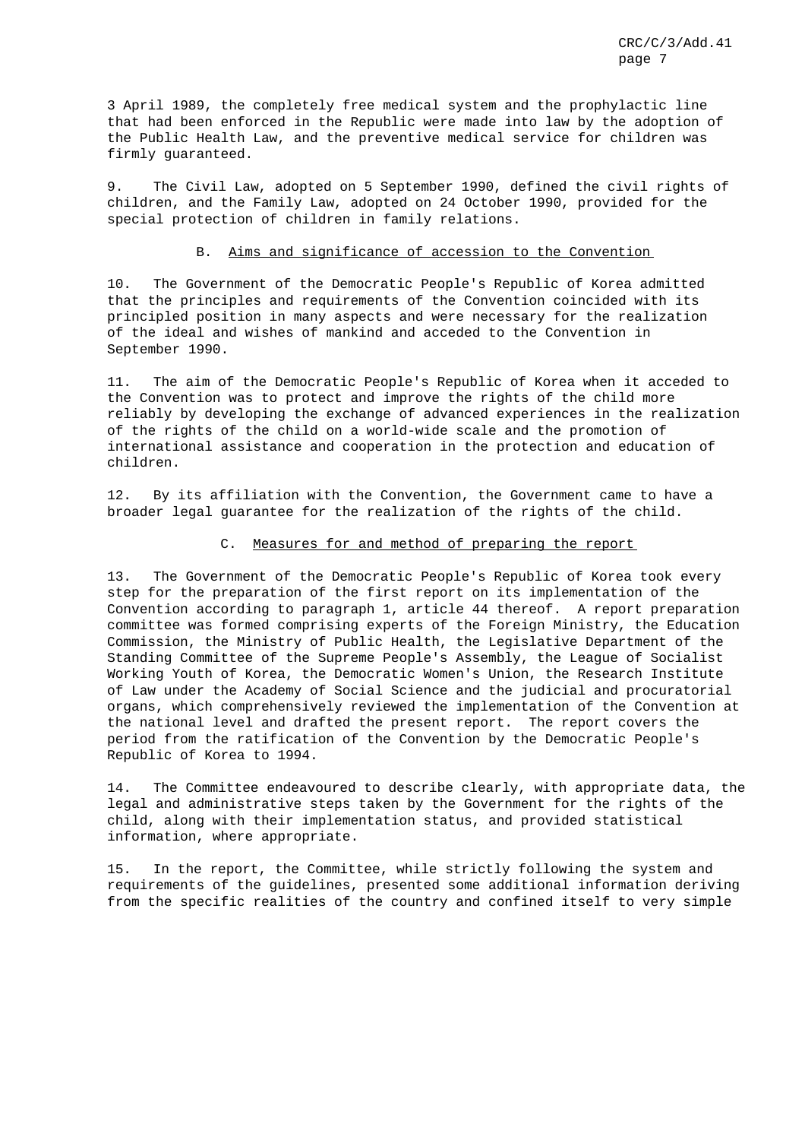3 April 1989, the completely free medical system and the prophylactic line that had been enforced in the Republic were made into law by the adoption of the Public Health Law, and the preventive medical service for children was firmly guaranteed.

9. The Civil Law, adopted on 5 September 1990, defined the civil rights of children, and the Family Law, adopted on 24 October 1990, provided for the special protection of children in family relations.

# B. Aims and significance of accession to the Convention

10. The Government of the Democratic People's Republic of Korea admitted that the principles and requirements of the Convention coincided with its principled position in many aspects and were necessary for the realization of the ideal and wishes of mankind and acceded to the Convention in September 1990.

11. The aim of the Democratic People's Republic of Korea when it acceded to the Convention was to protect and improve the rights of the child more reliably by developing the exchange of advanced experiences in the realization of the rights of the child on a world-wide scale and the promotion of international assistance and cooperation in the protection and education of children.

12. By its affiliation with the Convention, the Government came to have a broader legal guarantee for the realization of the rights of the child.

## C. Measures for and method of preparing the report

13. The Government of the Democratic People's Republic of Korea took every step for the preparation of the first report on its implementation of the Convention according to paragraph 1, article 44 thereof. A report preparation committee was formed comprising experts of the Foreign Ministry, the Education Commission, the Ministry of Public Health, the Legislative Department of the Standing Committee of the Supreme People's Assembly, the League of Socialist Working Youth of Korea, the Democratic Women's Union, the Research Institute of Law under the Academy of Social Science and the judicial and procuratorial organs, which comprehensively reviewed the implementation of the Convention at the national level and drafted the present report. The report covers the period from the ratification of the Convention by the Democratic People's Republic of Korea to 1994.

14. The Committee endeavoured to describe clearly, with appropriate data, the legal and administrative steps taken by the Government for the rights of the child, along with their implementation status, and provided statistical information, where appropriate.

15. In the report, the Committee, while strictly following the system and requirements of the guidelines, presented some additional information deriving from the specific realities of the country and confined itself to very simple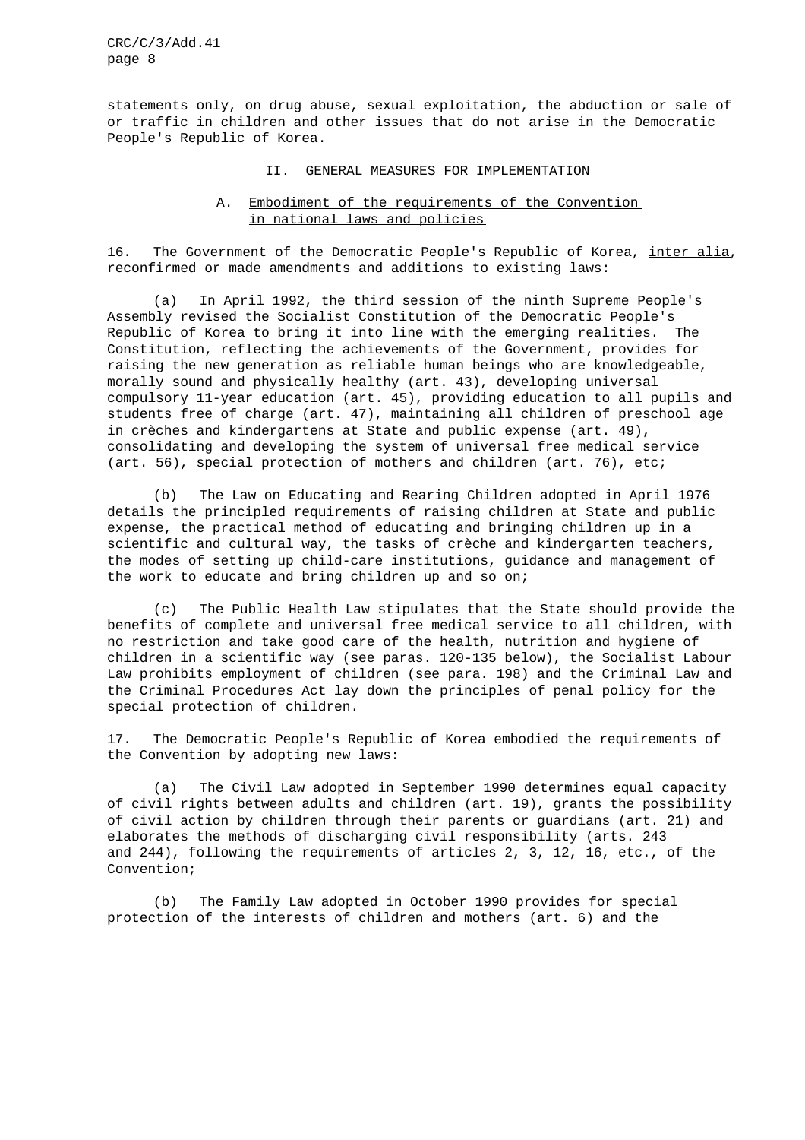statements only, on drug abuse, sexual exploitation, the abduction or sale of or traffic in children and other issues that do not arise in the Democratic People's Republic of Korea.

## II. GENERAL MEASURES FOR IMPLEMENTATION

# A. Embodiment of the requirements of the Convention in national laws and policies

16. The Government of the Democratic People's Republic of Korea, inter alia, reconfirmed or made amendments and additions to existing laws:

(a) In April 1992, the third session of the ninth Supreme People's Assembly revised the Socialist Constitution of the Democratic People's Republic of Korea to bring it into line with the emerging realities. The Constitution, reflecting the achievements of the Government, provides for raising the new generation as reliable human beings who are knowledgeable, morally sound and physically healthy (art. 43), developing universal compulsory 11-year education (art. 45), providing education to all pupils and students free of charge (art. 47), maintaining all children of preschool age in crèches and kindergartens at State and public expense (art. 49), consolidating and developing the system of universal free medical service (art. 56), special protection of mothers and children (art. 76), etc;

(b) The Law on Educating and Rearing Children adopted in April 1976 details the principled requirements of raising children at State and public expense, the practical method of educating and bringing children up in a scientific and cultural way, the tasks of crèche and kindergarten teachers, the modes of setting up child-care institutions, guidance and management of the work to educate and bring children up and so on;

(c) The Public Health Law stipulates that the State should provide the benefits of complete and universal free medical service to all children, with no restriction and take good care of the health, nutrition and hygiene of children in a scientific way (see paras. 120-135 below), the Socialist Labour Law prohibits employment of children (see para. 198) and the Criminal Law and the Criminal Procedures Act lay down the principles of penal policy for the special protection of children.

17. The Democratic People's Republic of Korea embodied the requirements of the Convention by adopting new laws:

(a) The Civil Law adopted in September 1990 determines equal capacity of civil rights between adults and children (art. 19), grants the possibility of civil action by children through their parents or guardians (art. 21) and elaborates the methods of discharging civil responsibility (arts. 243 and 244), following the requirements of articles 2, 3, 12, 16, etc., of the Convention;

(b) The Family Law adopted in October 1990 provides for special protection of the interests of children and mothers (art. 6) and the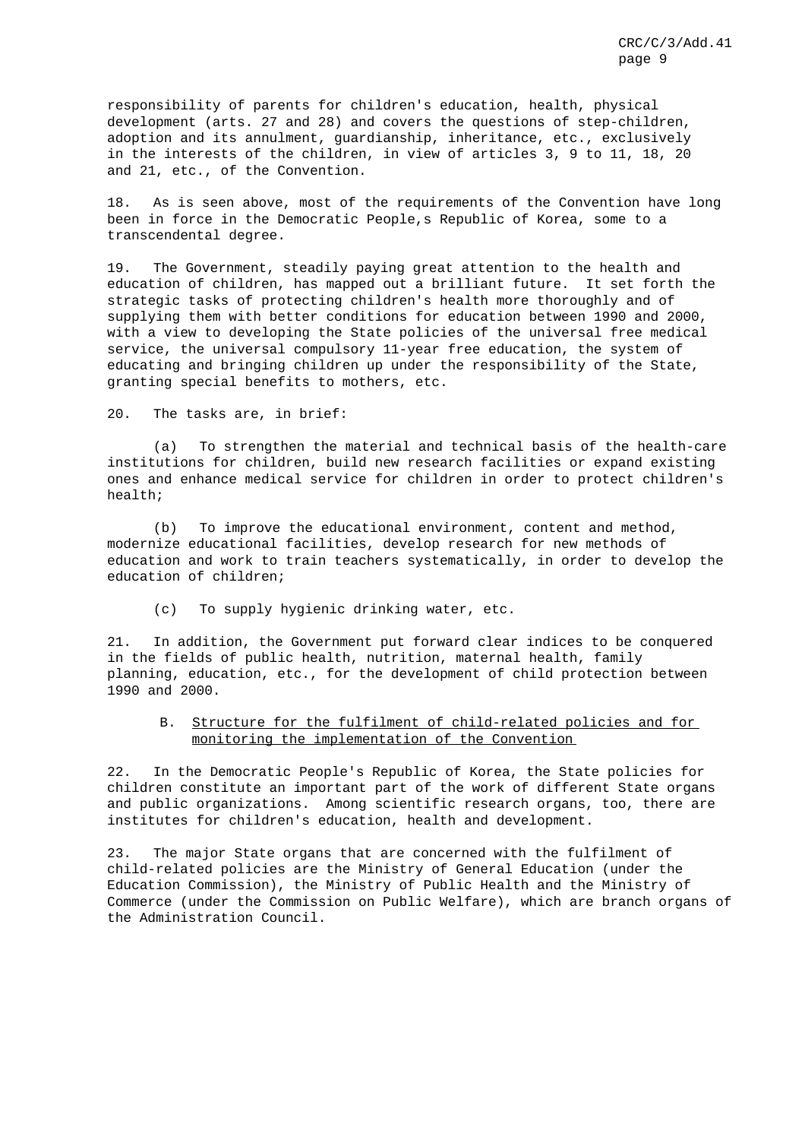responsibility of parents for children's education, health, physical development (arts. 27 and 28) and covers the questions of step-children, adoption and its annulment, guardianship, inheritance, etc., exclusively in the interests of the children, in view of articles 3, 9 to 11, 18, 20 and 21, etc., of the Convention.

18. As is seen above, most of the requirements of the Convention have long been in force in the Democratic People,s Republic of Korea, some to a transcendental degree.

19. The Government, steadily paying great attention to the health and education of children, has mapped out a brilliant future. It set forth the strategic tasks of protecting children's health more thoroughly and of supplying them with better conditions for education between 1990 and 2000, with a view to developing the State policies of the universal free medical service, the universal compulsory 11-year free education, the system of educating and bringing children up under the responsibility of the State, granting special benefits to mothers, etc.

20. The tasks are, in brief:

(a) To strengthen the material and technical basis of the health-care institutions for children, build new research facilities or expand existing ones and enhance medical service for children in order to protect children's health;

(b) To improve the educational environment, content and method, modernize educational facilities, develop research for new methods of education and work to train teachers systematically, in order to develop the education of children;

(c) To supply hygienic drinking water, etc.

21. In addition, the Government put forward clear indices to be conquered in the fields of public health, nutrition, maternal health, family planning, education, etc., for the development of child protection between 1990 and 2000.

# B. Structure for the fulfilment of child-related policies and for monitoring the implementation of the Convention

22. In the Democratic People's Republic of Korea, the State policies for children constitute an important part of the work of different State organs and public organizations. Among scientific research organs, too, there are institutes for children's education, health and development.

23. The major State organs that are concerned with the fulfilment of child-related policies are the Ministry of General Education (under the Education Commission), the Ministry of Public Health and the Ministry of Commerce (under the Commission on Public Welfare), which are branch organs of the Administration Council.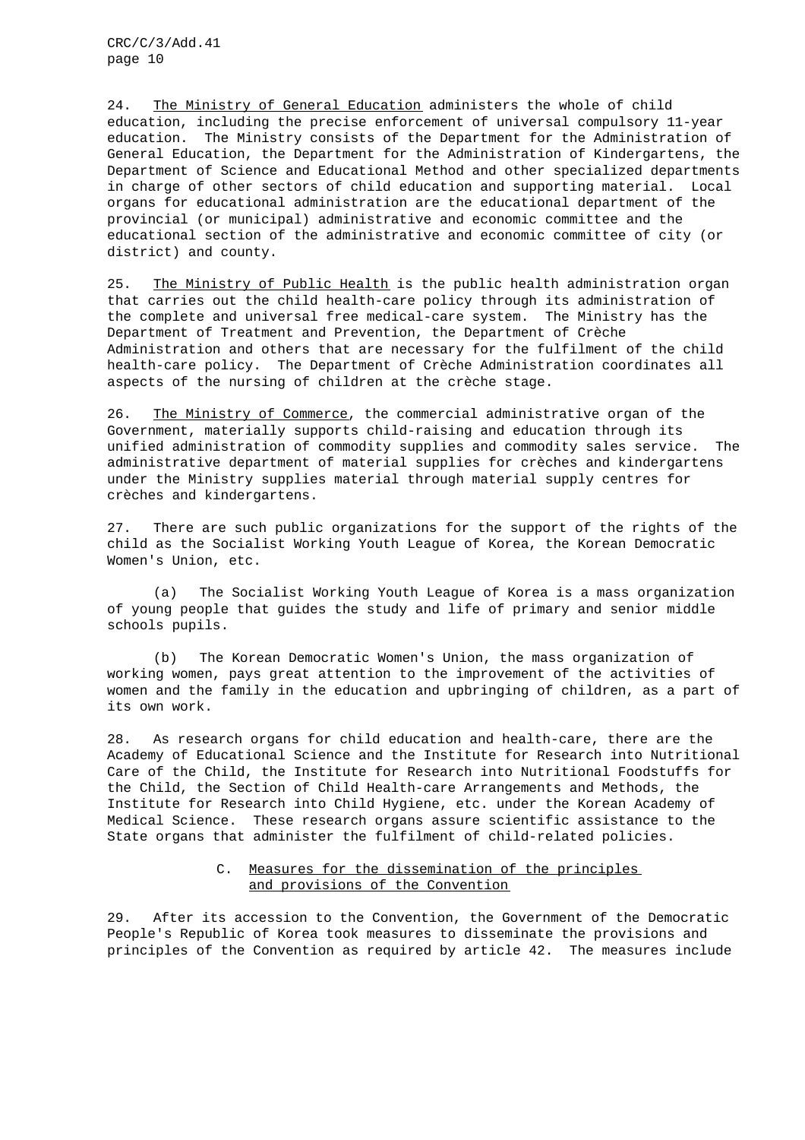24. The Ministry of General Education administers the whole of child education, including the precise enforcement of universal compulsory 11-year education. The Ministry consists of the Department for the Administration of General Education, the Department for the Administration of Kindergartens, the Department of Science and Educational Method and other specialized departments in charge of other sectors of child education and supporting material. Local organs for educational administration are the educational department of the provincial (or municipal) administrative and economic committee and the educational section of the administrative and economic committee of city (or district) and county.

25. The Ministry of Public Health is the public health administration organ that carries out the child health-care policy through its administration of the complete and universal free medical-care system. The Ministry has the Department of Treatment and Prevention, the Department of Crèche Administration and others that are necessary for the fulfilment of the child health-care policy. The Department of Crèche Administration coordinates all aspects of the nursing of children at the crèche stage.

26. The Ministry of Commerce, the commercial administrative organ of the Government, materially supports child-raising and education through its unified administration of commodity supplies and commodity sales service. The administrative department of material supplies for crèches and kindergartens under the Ministry supplies material through material supply centres for crèches and kindergartens.

27. There are such public organizations for the support of the rights of the child as the Socialist Working Youth League of Korea, the Korean Democratic Women's Union, etc.

(a) The Socialist Working Youth League of Korea is a mass organization of young people that guides the study and life of primary and senior middle schools pupils.

(b) The Korean Democratic Women's Union, the mass organization of working women, pays great attention to the improvement of the activities of women and the family in the education and upbringing of children, as a part of its own work.

28. As research organs for child education and health-care, there are the Academy of Educational Science and the Institute for Research into Nutritional Care of the Child, the Institute for Research into Nutritional Foodstuffs for the Child, the Section of Child Health-care Arrangements and Methods, the Institute for Research into Child Hygiene, etc. under the Korean Academy of Medical Science. These research organs assure scientific assistance to the State organs that administer the fulfilment of child-related policies.

# C. Measures for the dissemination of the principles and provisions of the Convention

29. After its accession to the Convention, the Government of the Democratic People's Republic of Korea took measures to disseminate the provisions and principles of the Convention as required by article 42. The measures include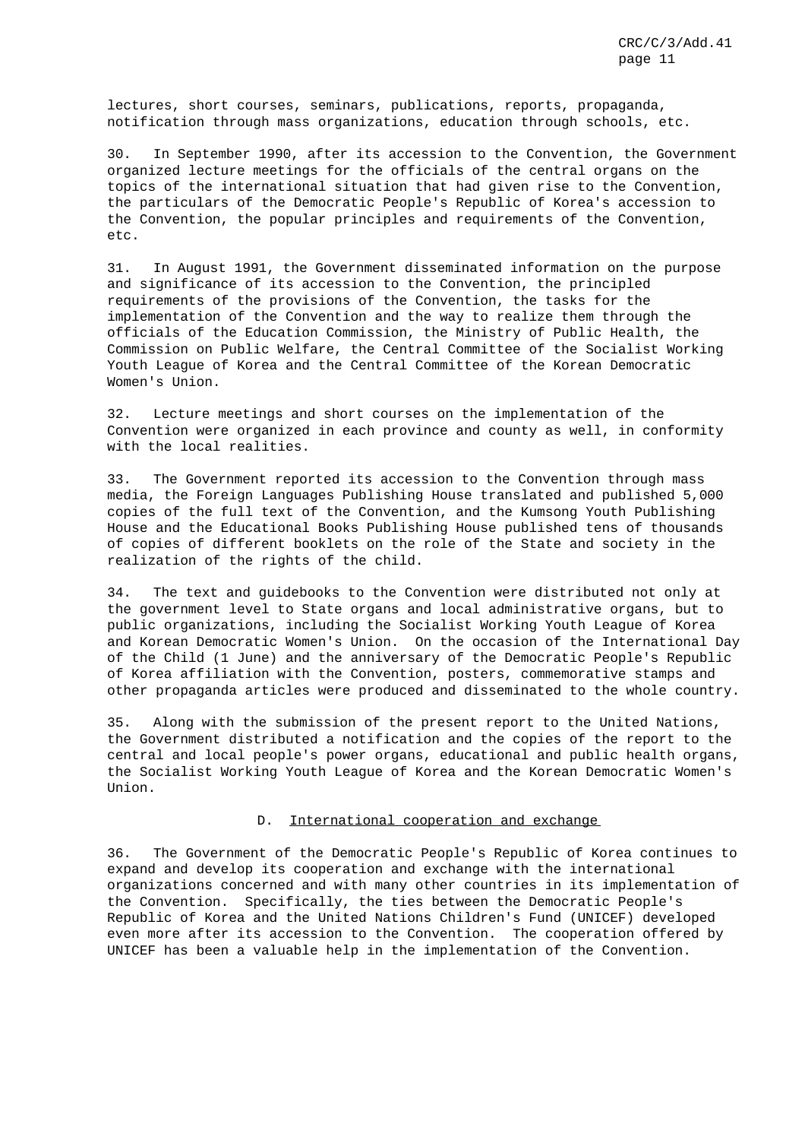lectures, short courses, seminars, publications, reports, propaganda, notification through mass organizations, education through schools, etc.

30. In September 1990, after its accession to the Convention, the Government organized lecture meetings for the officials of the central organs on the topics of the international situation that had given rise to the Convention, the particulars of the Democratic People's Republic of Korea's accession to the Convention, the popular principles and requirements of the Convention, etc.

31. In August 1991, the Government disseminated information on the purpose and significance of its accession to the Convention, the principled requirements of the provisions of the Convention, the tasks for the implementation of the Convention and the way to realize them through the officials of the Education Commission, the Ministry of Public Health, the Commission on Public Welfare, the Central Committee of the Socialist Working Youth League of Korea and the Central Committee of the Korean Democratic Women's Union.

32. Lecture meetings and short courses on the implementation of the Convention were organized in each province and county as well, in conformity with the local realities.

33. The Government reported its accession to the Convention through mass media, the Foreign Languages Publishing House translated and published 5,000 copies of the full text of the Convention, and the Kumsong Youth Publishing House and the Educational Books Publishing House published tens of thousands of copies of different booklets on the role of the State and society in the realization of the rights of the child.

34. The text and guidebooks to the Convention were distributed not only at the government level to State organs and local administrative organs, but to public organizations, including the Socialist Working Youth League of Korea and Korean Democratic Women's Union. On the occasion of the International Day of the Child (1 June) and the anniversary of the Democratic People's Republic of Korea affiliation with the Convention, posters, commemorative stamps and other propaganda articles were produced and disseminated to the whole country.

35. Along with the submission of the present report to the United Nations, the Government distributed a notification and the copies of the report to the central and local people's power organs, educational and public health organs, the Socialist Working Youth League of Korea and the Korean Democratic Women's Union.

## D. International cooperation and exchange

36. The Government of the Democratic People's Republic of Korea continues to expand and develop its cooperation and exchange with the international organizations concerned and with many other countries in its implementation of the Convention. Specifically, the ties between the Democratic People's Republic of Korea and the United Nations Children's Fund (UNICEF) developed even more after its accession to the Convention. The cooperation offered by UNICEF has been a valuable help in the implementation of the Convention.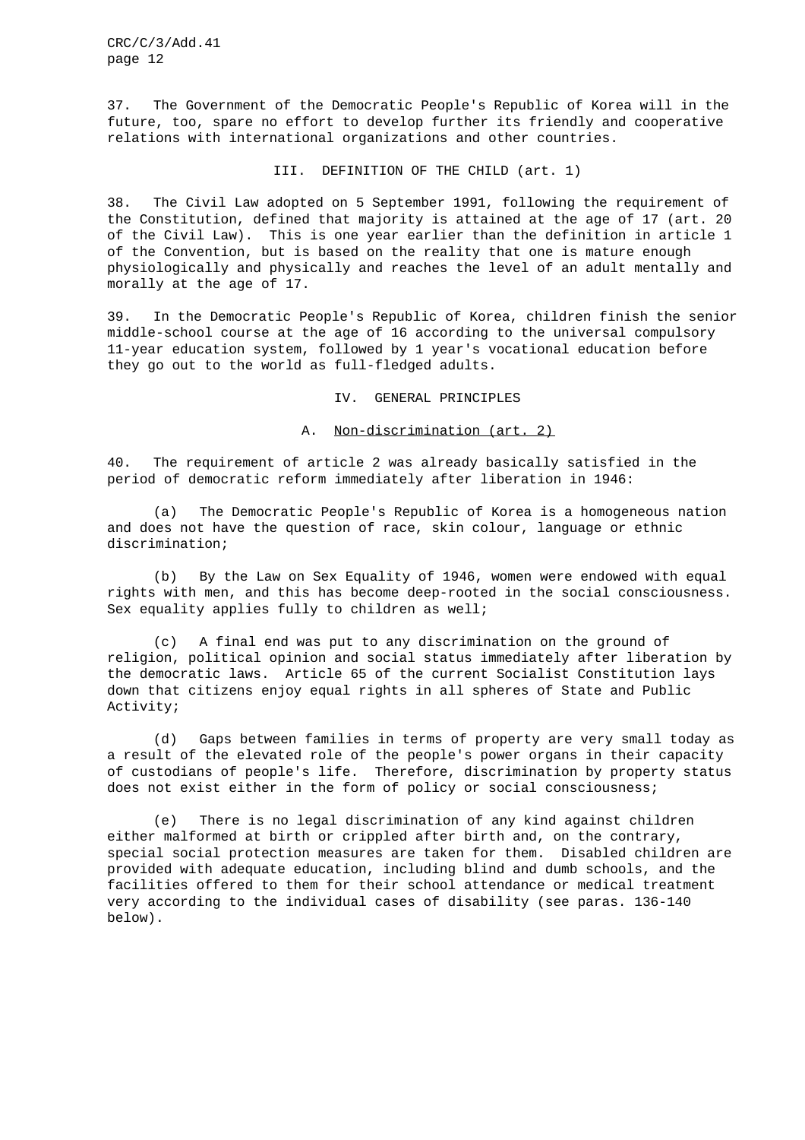37. The Government of the Democratic People's Republic of Korea will in the future, too, spare no effort to develop further its friendly and cooperative relations with international organizations and other countries.

#### III. DEFINITION OF THE CHILD (art. 1)

38. The Civil Law adopted on 5 September 1991, following the requirement of the Constitution, defined that majority is attained at the age of 17 (art. 20 of the Civil Law). This is one year earlier than the definition in article 1 of the Convention, but is based on the reality that one is mature enough physiologically and physically and reaches the level of an adult mentally and morally at the age of 17.

39. In the Democratic People's Republic of Korea, children finish the senior middle-school course at the age of 16 according to the universal compulsory 11-year education system, followed by 1 year's vocational education before they go out to the world as full-fledged adults.

#### IV. GENERAL PRINCIPLES

## A. Non-discrimination (art. 2)

40. The requirement of article 2 was already basically satisfied in the period of democratic reform immediately after liberation in 1946:

(a) The Democratic People's Republic of Korea is a homogeneous nation and does not have the question of race, skin colour, language or ethnic discrimination;

(b) By the Law on Sex Equality of 1946, women were endowed with equal rights with men, and this has become deep-rooted in the social consciousness. Sex equality applies fully to children as well;

(c) A final end was put to any discrimination on the ground of religion, political opinion and social status immediately after liberation by the democratic laws. Article 65 of the current Socialist Constitution lays down that citizens enjoy equal rights in all spheres of State and Public Activity;

(d) Gaps between families in terms of property are very small today as a result of the elevated role of the people's power organs in their capacity of custodians of people's life. Therefore, discrimination by property status does not exist either in the form of policy or social consciousness;

(e) There is no legal discrimination of any kind against children either malformed at birth or crippled after birth and, on the contrary, special social protection measures are taken for them. Disabled children are provided with adequate education, including blind and dumb schools, and the facilities offered to them for their school attendance or medical treatment very according to the individual cases of disability (see paras. 136-140 below).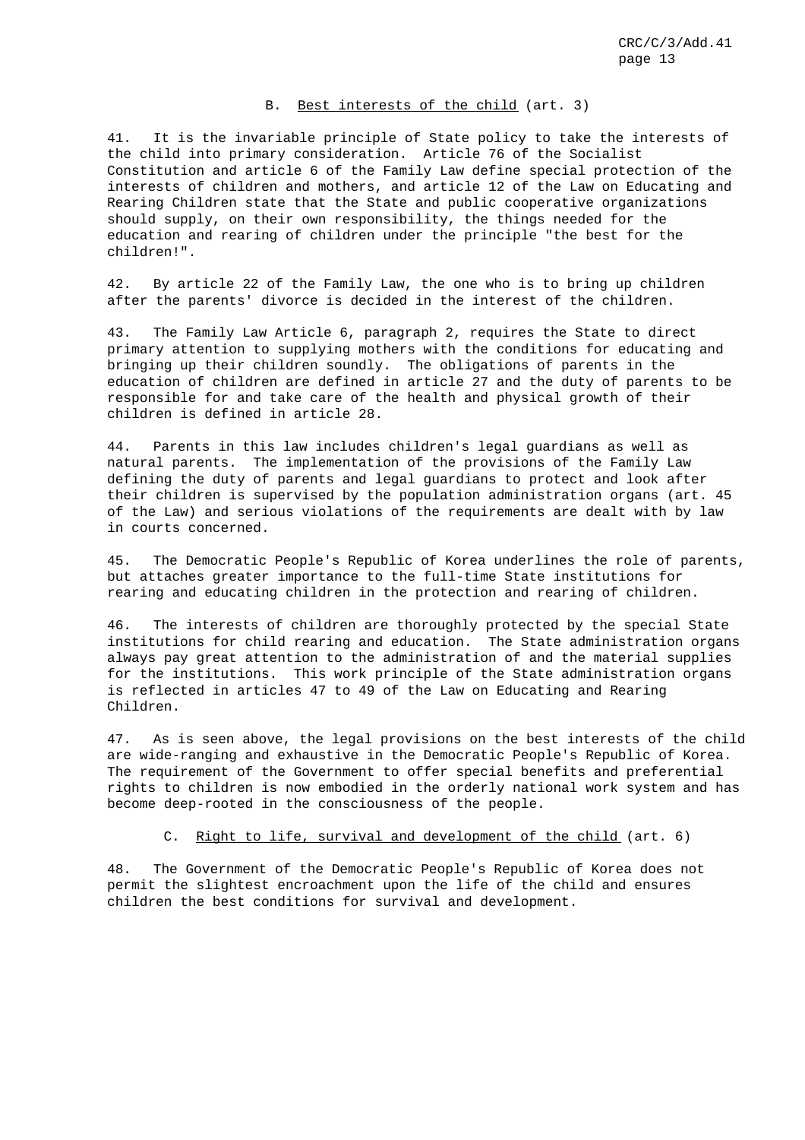## B. Best interests of the child (art. 3)

41. It is the invariable principle of State policy to take the interests of the child into primary consideration. Article 76 of the Socialist Constitution and article 6 of the Family Law define special protection of the interests of children and mothers, and article 12 of the Law on Educating and Rearing Children state that the State and public cooperative organizations should supply, on their own responsibility, the things needed for the education and rearing of children under the principle "the best for the children!".

42. By article 22 of the Family Law, the one who is to bring up children after the parents' divorce is decided in the interest of the children.

43. The Family Law Article 6, paragraph 2, requires the State to direct primary attention to supplying mothers with the conditions for educating and bringing up their children soundly. The obligations of parents in the education of children are defined in article 27 and the duty of parents to be responsible for and take care of the health and physical growth of their children is defined in article 28.

44. Parents in this law includes children's legal guardians as well as natural parents. The implementation of the provisions of the Family Law defining the duty of parents and legal guardians to protect and look after their children is supervised by the population administration organs (art. 45 of the Law) and serious violations of the requirements are dealt with by law in courts concerned.

45. The Democratic People's Republic of Korea underlines the role of parents, but attaches greater importance to the full-time State institutions for rearing and educating children in the protection and rearing of children.

46. The interests of children are thoroughly protected by the special State institutions for child rearing and education. The State administration organs always pay great attention to the administration of and the material supplies for the institutions. This work principle of the State administration organs is reflected in articles 47 to 49 of the Law on Educating and Rearing Children.

47. As is seen above, the legal provisions on the best interests of the child are wide-ranging and exhaustive in the Democratic People's Republic of Korea. The requirement of the Government to offer special benefits and preferential rights to children is now embodied in the orderly national work system and has become deep-rooted in the consciousness of the people.

C. Right to life, survival and development of the child (art. 6)

48. The Government of the Democratic People's Republic of Korea does not permit the slightest encroachment upon the life of the child and ensures children the best conditions for survival and development.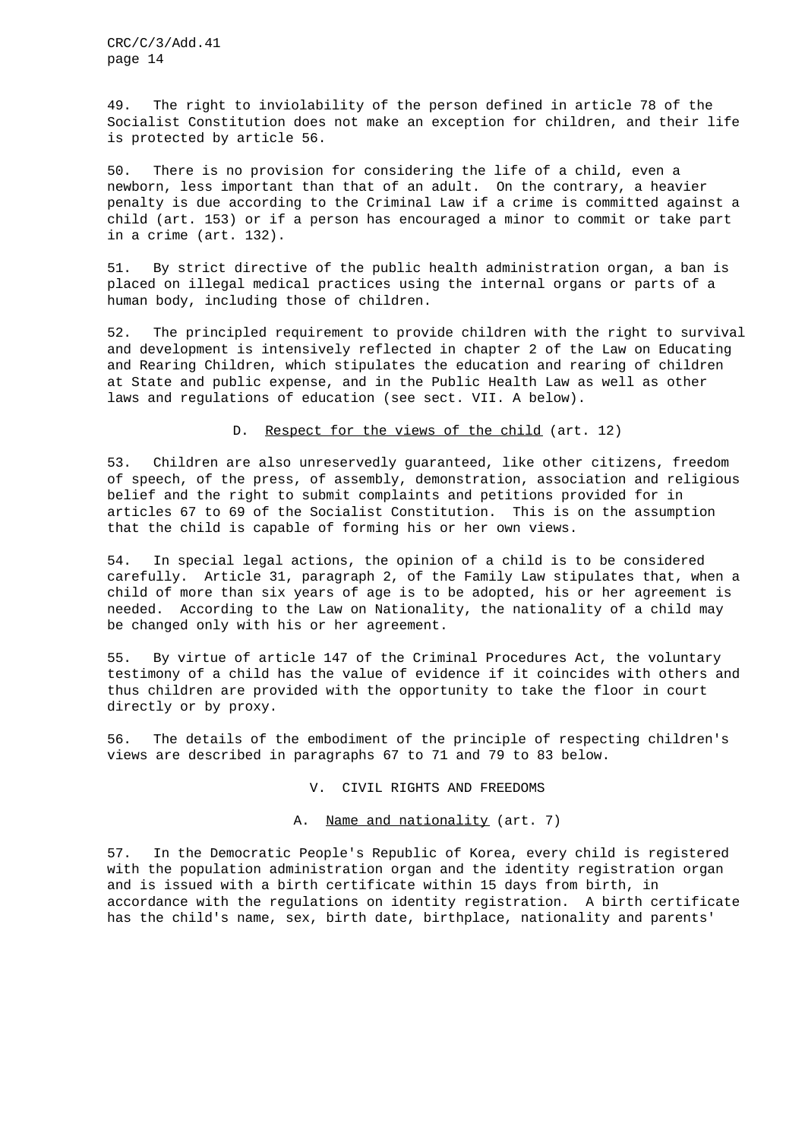49. The right to inviolability of the person defined in article 78 of the Socialist Constitution does not make an exception for children, and their life is protected by article 56.

50. There is no provision for considering the life of a child, even a newborn, less important than that of an adult. On the contrary, a heavier penalty is due according to the Criminal Law if a crime is committed against a child (art. 153) or if a person has encouraged a minor to commit or take part in a crime (art. 132).

51. By strict directive of the public health administration organ, a ban is placed on illegal medical practices using the internal organs or parts of a human body, including those of children.

52. The principled requirement to provide children with the right to survival and development is intensively reflected in chapter 2 of the Law on Educating and Rearing Children, which stipulates the education and rearing of children at State and public expense, and in the Public Health Law as well as other laws and regulations of education (see sect. VII. A below).

D. Respect for the views of the child (art. 12)

53. Children are also unreservedly guaranteed, like other citizens, freedom of speech, of the press, of assembly, demonstration, association and religious belief and the right to submit complaints and petitions provided for in articles 67 to 69 of the Socialist Constitution. This is on the assumption that the child is capable of forming his or her own views.

54. In special legal actions, the opinion of a child is to be considered carefully. Article 31, paragraph 2, of the Family Law stipulates that, when a child of more than six years of age is to be adopted, his or her agreement is needed. According to the Law on Nationality, the nationality of a child may be changed only with his or her agreement.

55. By virtue of article 147 of the Criminal Procedures Act, the voluntary testimony of a child has the value of evidence if it coincides with others and thus children are provided with the opportunity to take the floor in court directly or by proxy.

56. The details of the embodiment of the principle of respecting children's views are described in paragraphs 67 to 71 and 79 to 83 below.

V. CIVIL RIGHTS AND FREEDOMS

A. Name and nationality (art. 7)

57. In the Democratic People's Republic of Korea, every child is registered with the population administration organ and the identity registration organ and is issued with a birth certificate within 15 days from birth, in accordance with the regulations on identity registration. A birth certificate has the child's name, sex, birth date, birthplace, nationality and parents'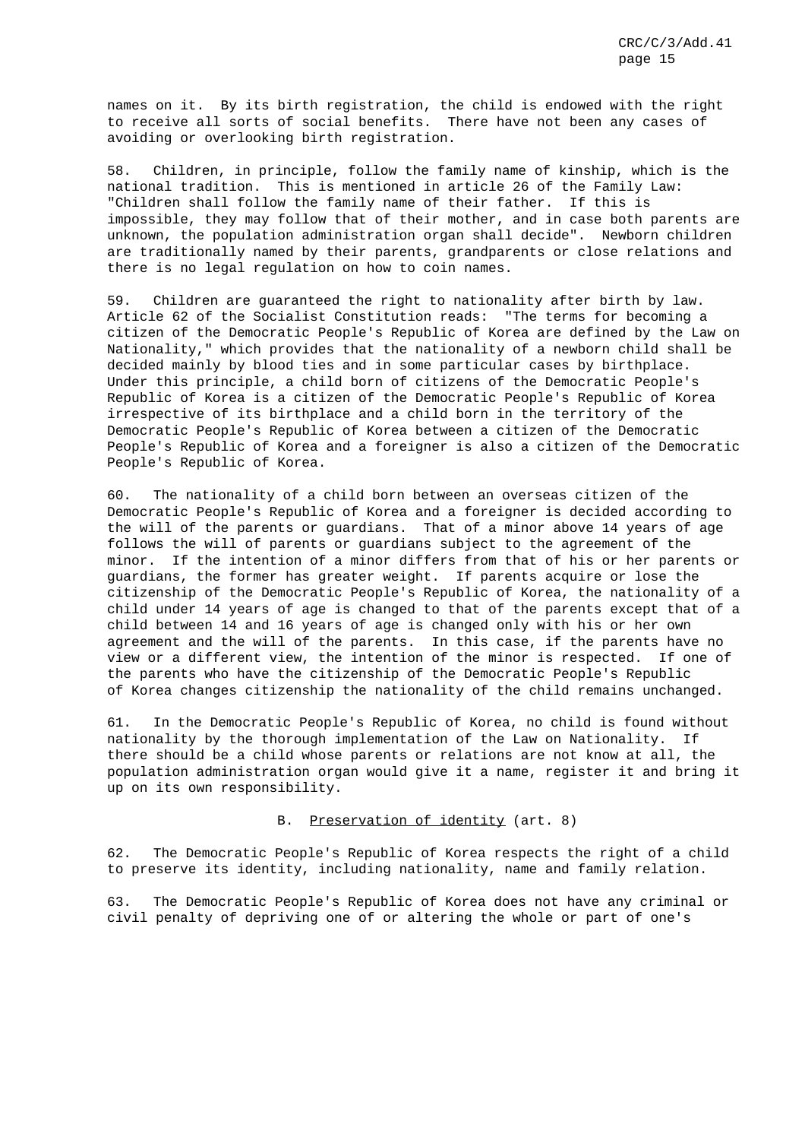names on it. By its birth registration, the child is endowed with the right to receive all sorts of social benefits. There have not been any cases of avoiding or overlooking birth registration.

58. Children, in principle, follow the family name of kinship, which is the national tradition. This is mentioned in article 26 of the Family Law: "Children shall follow the family name of their father. If this is impossible, they may follow that of their mother, and in case both parents are unknown, the population administration organ shall decide". Newborn children are traditionally named by their parents, grandparents or close relations and there is no legal regulation on how to coin names.

59. Children are guaranteed the right to nationality after birth by law. Article 62 of the Socialist Constitution reads: "The terms for becoming a citizen of the Democratic People's Republic of Korea are defined by the Law on Nationality," which provides that the nationality of a newborn child shall be decided mainly by blood ties and in some particular cases by birthplace. Under this principle, a child born of citizens of the Democratic People's Republic of Korea is a citizen of the Democratic People's Republic of Korea irrespective of its birthplace and a child born in the territory of the Democratic People's Republic of Korea between a citizen of the Democratic People's Republic of Korea and a foreigner is also a citizen of the Democratic People's Republic of Korea.

60. The nationality of a child born between an overseas citizen of the Democratic People's Republic of Korea and a foreigner is decided according to the will of the parents or guardians. That of a minor above 14 years of age follows the will of parents or guardians subject to the agreement of the minor. If the intention of a minor differs from that of his or her parents or guardians, the former has greater weight. If parents acquire or lose the citizenship of the Democratic People's Republic of Korea, the nationality of a child under 14 years of age is changed to that of the parents except that of a child between 14 and 16 years of age is changed only with his or her own agreement and the will of the parents. In this case, if the parents have no view or a different view, the intention of the minor is respected. If one of the parents who have the citizenship of the Democratic People's Republic of Korea changes citizenship the nationality of the child remains unchanged.

61. In the Democratic People's Republic of Korea, no child is found without nationality by the thorough implementation of the Law on Nationality. If there should be a child whose parents or relations are not know at all, the population administration organ would give it a name, register it and bring it up on its own responsibility.

## B. Preservation of identity (art. 8)

62. The Democratic People's Republic of Korea respects the right of a child to preserve its identity, including nationality, name and family relation.

63. The Democratic People's Republic of Korea does not have any criminal or civil penalty of depriving one of or altering the whole or part of one's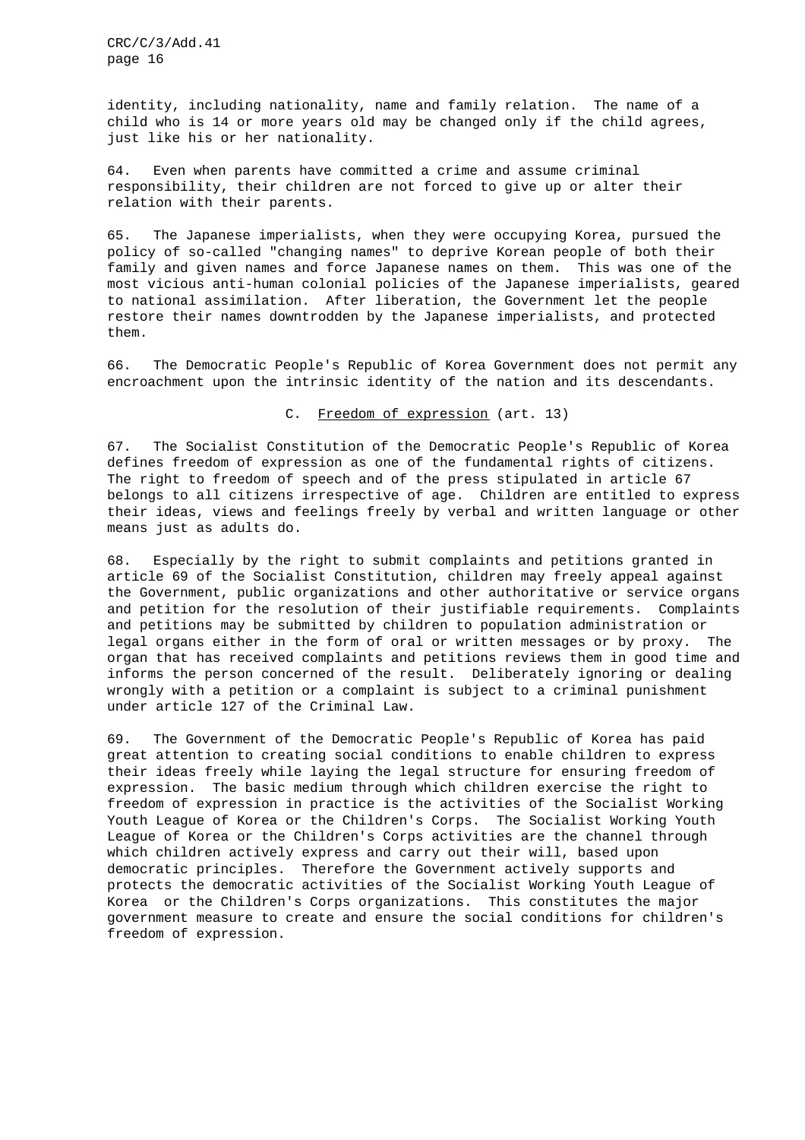identity, including nationality, name and family relation. The name of a child who is 14 or more years old may be changed only if the child agrees, just like his or her nationality.

64. Even when parents have committed a crime and assume criminal responsibility, their children are not forced to give up or alter their relation with their parents.

65. The Japanese imperialists, when they were occupying Korea, pursued the policy of so-called "changing names" to deprive Korean people of both their family and given names and force Japanese names on them. This was one of the most vicious anti-human colonial policies of the Japanese imperialists, geared to national assimilation. After liberation, the Government let the people restore their names downtrodden by the Japanese imperialists, and protected them.

66. The Democratic People's Republic of Korea Government does not permit any encroachment upon the intrinsic identity of the nation and its descendants.

C. Freedom of expression (art. 13)

67. The Socialist Constitution of the Democratic People's Republic of Korea defines freedom of expression as one of the fundamental rights of citizens. The right to freedom of speech and of the press stipulated in article 67 belongs to all citizens irrespective of age. Children are entitled to express their ideas, views and feelings freely by verbal and written language or other means just as adults do.

68. Especially by the right to submit complaints and petitions granted in article 69 of the Socialist Constitution, children may freely appeal against the Government, public organizations and other authoritative or service organs and petition for the resolution of their justifiable requirements. Complaints and petitions may be submitted by children to population administration or legal organs either in the form of oral or written messages or by proxy. The organ that has received complaints and petitions reviews them in good time and informs the person concerned of the result. Deliberately ignoring or dealing wrongly with a petition or a complaint is subject to a criminal punishment under article 127 of the Criminal Law.

69. The Government of the Democratic People's Republic of Korea has paid great attention to creating social conditions to enable children to express their ideas freely while laying the legal structure for ensuring freedom of expression. The basic medium through which children exercise the right to freedom of expression in practice is the activities of the Socialist Working Youth League of Korea or the Children's Corps. The Socialist Working Youth League of Korea or the Children's Corps activities are the channel through which children actively express and carry out their will, based upon democratic principles. Therefore the Government actively supports and protects the democratic activities of the Socialist Working Youth League of Korea or the Children's Corps organizations. This constitutes the major government measure to create and ensure the social conditions for children's freedom of expression.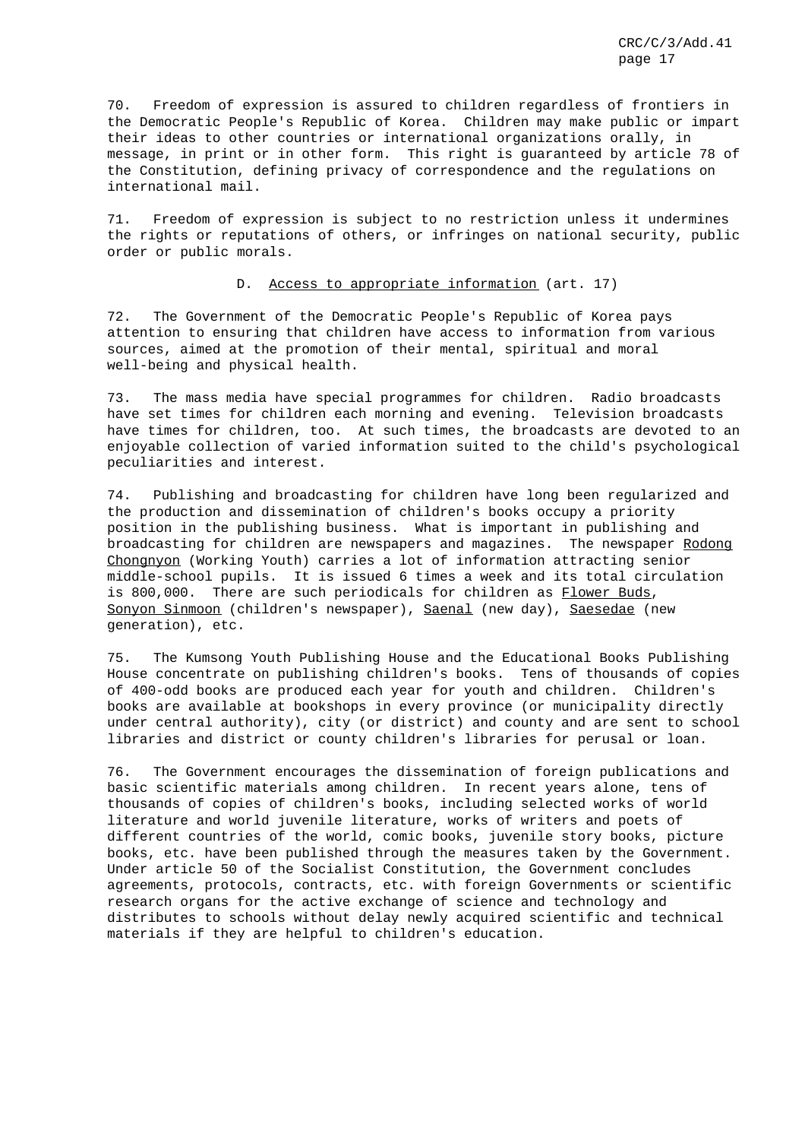70. Freedom of expression is assured to children regardless of frontiers in the Democratic People's Republic of Korea. Children may make public or impart their ideas to other countries or international organizations orally, in message, in print or in other form. This right is guaranteed by article 78 of the Constitution, defining privacy of correspondence and the regulations on international mail.

71. Freedom of expression is subject to no restriction unless it undermines the rights or reputations of others, or infringes on national security, public order or public morals.

#### D. Access to appropriate information (art. 17)

72. The Government of the Democratic People's Republic of Korea pays attention to ensuring that children have access to information from various sources, aimed at the promotion of their mental, spiritual and moral well-being and physical health.

73. The mass media have special programmes for children. Radio broadcasts have set times for children each morning and evening. Television broadcasts have times for children, too. At such times, the broadcasts are devoted to an enjoyable collection of varied information suited to the child's psychological peculiarities and interest.

74. Publishing and broadcasting for children have long been regularized and the production and dissemination of children's books occupy a priority position in the publishing business. What is important in publishing and broadcasting for children are newspapers and magazines. The newspaper Rodong Chongnyon (Working Youth) carries a lot of information attracting senior middle-school pupils. It is issued 6 times a week and its total circulation is 800,000. There are such periodicals for children as Flower Buds, Sonyon Sinmoon (children's newspaper), Saenal (new day), Saesedae (new generation), etc.

75. The Kumsong Youth Publishing House and the Educational Books Publishing House concentrate on publishing children's books. Tens of thousands of copies of 400-odd books are produced each year for youth and children. Children's books are available at bookshops in every province (or municipality directly under central authority), city (or district) and county and are sent to school libraries and district or county children's libraries for perusal or loan.

76. The Government encourages the dissemination of foreign publications and basic scientific materials among children. In recent years alone, tens of thousands of copies of children's books, including selected works of world literature and world juvenile literature, works of writers and poets of different countries of the world, comic books, juvenile story books, picture books, etc. have been published through the measures taken by the Government. Under article 50 of the Socialist Constitution, the Government concludes agreements, protocols, contracts, etc. with foreign Governments or scientific research organs for the active exchange of science and technology and distributes to schools without delay newly acquired scientific and technical materials if they are helpful to children's education.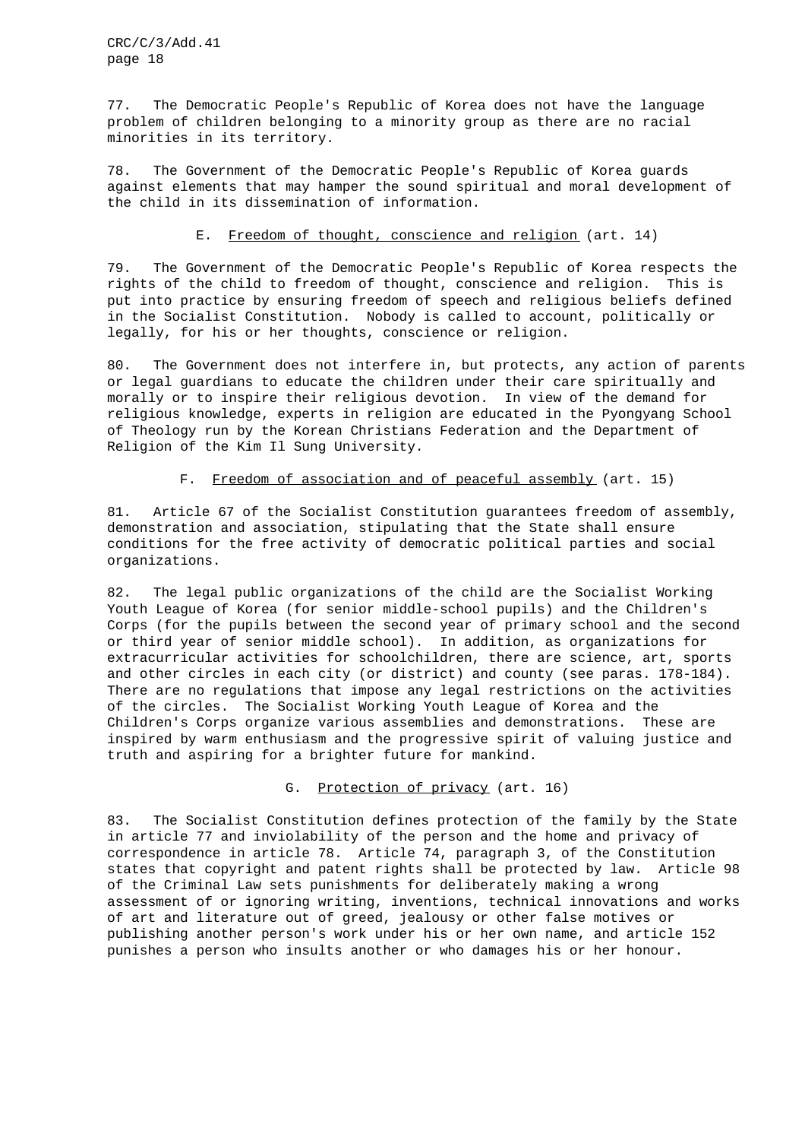77. The Democratic People's Republic of Korea does not have the language problem of children belonging to a minority group as there are no racial minorities in its territory.

78. The Government of the Democratic People's Republic of Korea guards against elements that may hamper the sound spiritual and moral development of the child in its dissemination of information.

## E. Freedom of thought, conscience and religion (art. 14)

79. The Government of the Democratic People's Republic of Korea respects the rights of the child to freedom of thought, conscience and religion. This is put into practice by ensuring freedom of speech and religious beliefs defined in the Socialist Constitution. Nobody is called to account, politically or legally, for his or her thoughts, conscience or religion.

80. The Government does not interfere in, but protects, any action of parents or legal guardians to educate the children under their care spiritually and morally or to inspire their religious devotion. In view of the demand for religious knowledge, experts in religion are educated in the Pyongyang School of Theology run by the Korean Christians Federation and the Department of Religion of the Kim Il Sung University.

#### F. Freedom of association and of peaceful assembly (art. 15)

81. Article 67 of the Socialist Constitution guarantees freedom of assembly, demonstration and association, stipulating that the State shall ensure conditions for the free activity of democratic political parties and social organizations.

82. The legal public organizations of the child are the Socialist Working Youth League of Korea (for senior middle-school pupils) and the Children's Corps (for the pupils between the second year of primary school and the second or third year of senior middle school). In addition, as organizations for extracurricular activities for schoolchildren, there are science, art, sports and other circles in each city (or district) and county (see paras. 178-184). There are no regulations that impose any legal restrictions on the activities of the circles. The Socialist Working Youth League of Korea and the Children's Corps organize various assemblies and demonstrations. These are inspired by warm enthusiasm and the progressive spirit of valuing justice and truth and aspiring for a brighter future for mankind.

G. Protection of privacy (art. 16)

83. The Socialist Constitution defines protection of the family by the State in article 77 and inviolability of the person and the home and privacy of correspondence in article 78. Article 74, paragraph 3, of the Constitution states that copyright and patent rights shall be protected by law. Article 98 of the Criminal Law sets punishments for deliberately making a wrong assessment of or ignoring writing, inventions, technical innovations and works of art and literature out of greed, jealousy or other false motives or publishing another person's work under his or her own name, and article 152 punishes a person who insults another or who damages his or her honour.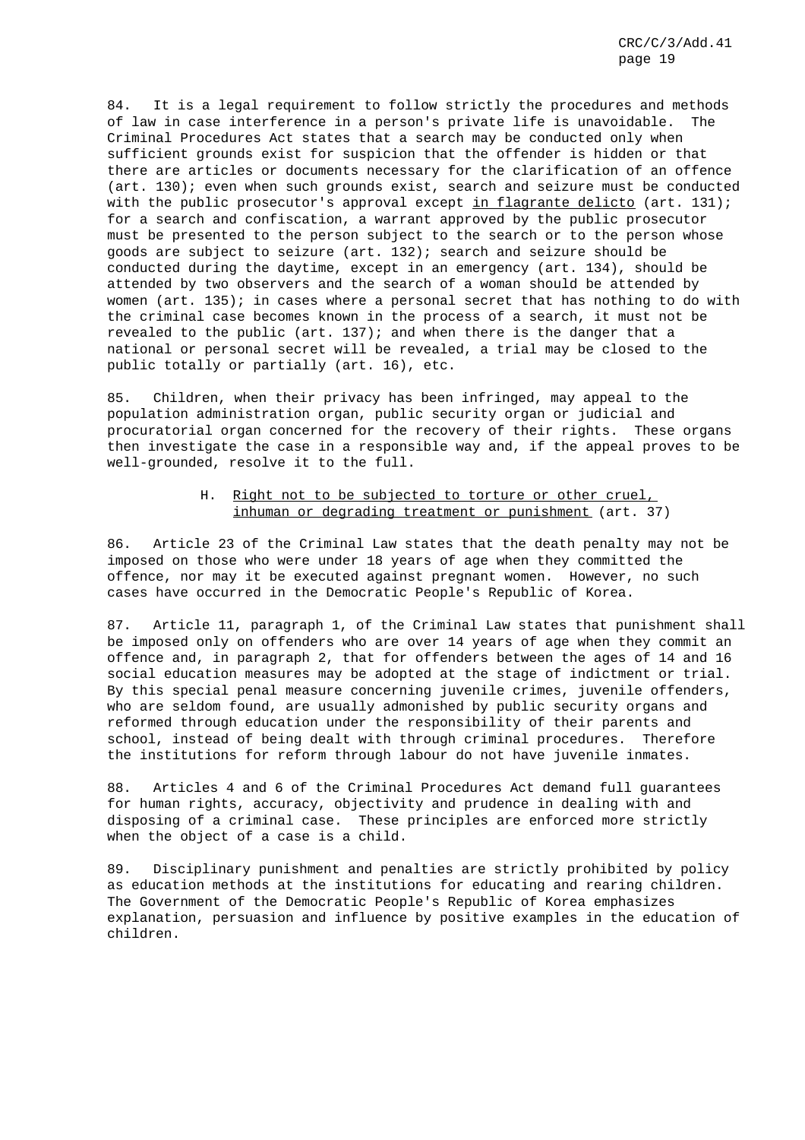84. It is a legal requirement to follow strictly the procedures and methods of law in case interference in a person's private life is unavoidable. The Criminal Procedures Act states that a search may be conducted only when sufficient grounds exist for suspicion that the offender is hidden or that there are articles or documents necessary for the clarification of an offence (art. 130); even when such grounds exist, search and seizure must be conducted with the public prosecutor's approval except in flagrante delicto (art. 131); for a search and confiscation, a warrant approved by the public prosecutor must be presented to the person subject to the search or to the person whose goods are subject to seizure (art. 132); search and seizure should be conducted during the daytime, except in an emergency (art. 134), should be attended by two observers and the search of a woman should be attended by women (art. 135); in cases where a personal secret that has nothing to do with the criminal case becomes known in the process of a search, it must not be revealed to the public (art. 137); and when there is the danger that a national or personal secret will be revealed, a trial may be closed to the public totally or partially (art. 16), etc.

85. Children, when their privacy has been infringed, may appeal to the population administration organ, public security organ or judicial and procuratorial organ concerned for the recovery of their rights. These organs then investigate the case in a responsible way and, if the appeal proves to be well-grounded, resolve it to the full.

# H. Right not to be subjected to torture or other cruel, inhuman or degrading treatment or punishment (art. 37)

86. Article 23 of the Criminal Law states that the death penalty may not be imposed on those who were under 18 years of age when they committed the offence, nor may it be executed against pregnant women. However, no such cases have occurred in the Democratic People's Republic of Korea.

87. Article 11, paragraph 1, of the Criminal Law states that punishment shall be imposed only on offenders who are over 14 years of age when they commit an offence and, in paragraph 2, that for offenders between the ages of 14 and 16 social education measures may be adopted at the stage of indictment or trial. By this special penal measure concerning juvenile crimes, juvenile offenders, who are seldom found, are usually admonished by public security organs and reformed through education under the responsibility of their parents and school, instead of being dealt with through criminal procedures. Therefore the institutions for reform through labour do not have juvenile inmates.

88. Articles 4 and 6 of the Criminal Procedures Act demand full guarantees for human rights, accuracy, objectivity and prudence in dealing with and disposing of a criminal case. These principles are enforced more strictly when the object of a case is a child.

89. Disciplinary punishment and penalties are strictly prohibited by policy as education methods at the institutions for educating and rearing children. The Government of the Democratic People's Republic of Korea emphasizes explanation, persuasion and influence by positive examples in the education of children.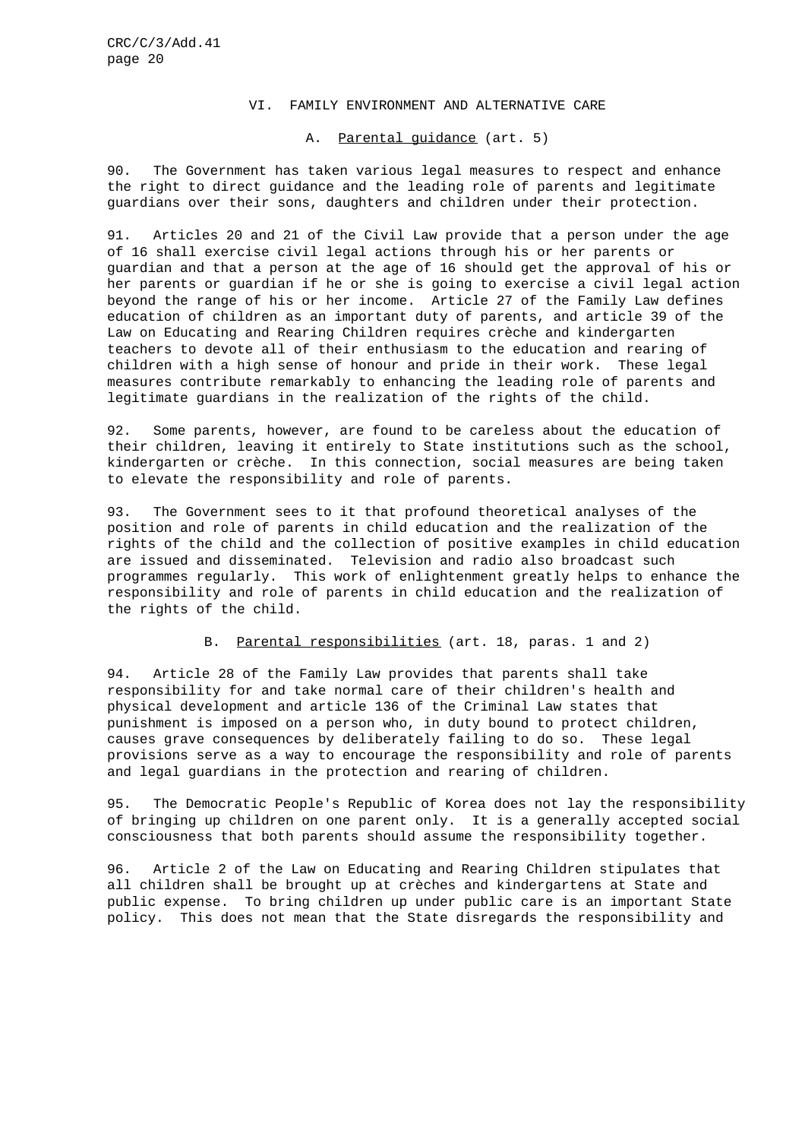#### VI. FAMILY ENVIRONMENT AND ALTERNATIVE CARE

#### A. Parental guidance (art. 5)

90. The Government has taken various legal measures to respect and enhance the right to direct guidance and the leading role of parents and legitimate guardians over their sons, daughters and children under their protection.

91. Articles 20 and 21 of the Civil Law provide that a person under the age of 16 shall exercise civil legal actions through his or her parents or guardian and that a person at the age of 16 should get the approval of his or her parents or guardian if he or she is going to exercise a civil legal action beyond the range of his or her income. Article 27 of the Family Law defines education of children as an important duty of parents, and article 39 of the Law on Educating and Rearing Children requires crèche and kindergarten teachers to devote all of their enthusiasm to the education and rearing of children with a high sense of honour and pride in their work. These legal measures contribute remarkably to enhancing the leading role of parents and legitimate guardians in the realization of the rights of the child.

92. Some parents, however, are found to be careless about the education of their children, leaving it entirely to State institutions such as the school, kindergarten or crèche. In this connection, social measures are being taken to elevate the responsibility and role of parents.

93. The Government sees to it that profound theoretical analyses of the position and role of parents in child education and the realization of the rights of the child and the collection of positive examples in child education are issued and disseminated. Television and radio also broadcast such programmes regularly. This work of enlightenment greatly helps to enhance the responsibility and role of parents in child education and the realization of the rights of the child.

## B. Parental responsibilities (art. 18, paras. 1 and 2)

94. Article 28 of the Family Law provides that parents shall take responsibility for and take normal care of their children's health and physical development and article 136 of the Criminal Law states that punishment is imposed on a person who, in duty bound to protect children, causes grave consequences by deliberately failing to do so. These legal provisions serve as a way to encourage the responsibility and role of parents and legal guardians in the protection and rearing of children.

95. The Democratic People's Republic of Korea does not lay the responsibility of bringing up children on one parent only. It is a generally accepted social consciousness that both parents should assume the responsibility together.

96. Article 2 of the Law on Educating and Rearing Children stipulates that all children shall be brought up at crèches and kindergartens at State and public expense. To bring children up under public care is an important State policy. This does not mean that the State disregards the responsibility and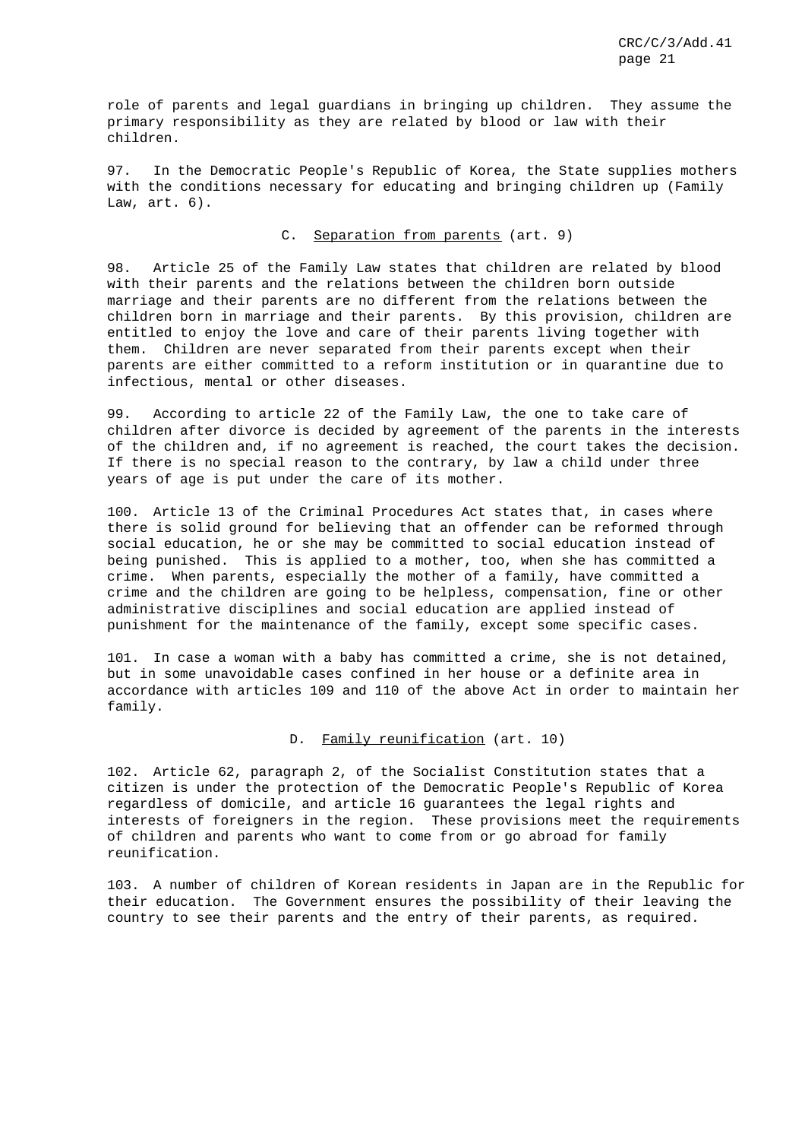role of parents and legal guardians in bringing up children. They assume the primary responsibility as they are related by blood or law with their children.

97. In the Democratic People's Republic of Korea, the State supplies mothers with the conditions necessary for educating and bringing children up (Family Law, art. 6).

#### C. Separation from parents (art. 9)

98. Article 25 of the Family Law states that children are related by blood with their parents and the relations between the children born outside marriage and their parents are no different from the relations between the children born in marriage and their parents. By this provision, children are entitled to enjoy the love and care of their parents living together with them. Children are never separated from their parents except when their parents are either committed to a reform institution or in quarantine due to infectious, mental or other diseases.

99. According to article 22 of the Family Law, the one to take care of children after divorce is decided by agreement of the parents in the interests of the children and, if no agreement is reached, the court takes the decision. If there is no special reason to the contrary, by law a child under three years of age is put under the care of its mother.

100. Article 13 of the Criminal Procedures Act states that, in cases where there is solid ground for believing that an offender can be reformed through social education, he or she may be committed to social education instead of being punished. This is applied to a mother, too, when she has committed a crime. When parents, especially the mother of a family, have committed a crime and the children are going to be helpless, compensation, fine or other administrative disciplines and social education are applied instead of punishment for the maintenance of the family, except some specific cases.

101. In case a woman with a baby has committed a crime, she is not detained, but in some unavoidable cases confined in her house or a definite area in accordance with articles 109 and 110 of the above Act in order to maintain her family.

# D. Family reunification (art. 10)

102. Article 62, paragraph 2, of the Socialist Constitution states that a citizen is under the protection of the Democratic People's Republic of Korea regardless of domicile, and article 16 guarantees the legal rights and interests of foreigners in the region. These provisions meet the requirements of children and parents who want to come from or go abroad for family reunification.

103. A number of children of Korean residents in Japan are in the Republic for their education. The Government ensures the possibility of their leaving the country to see their parents and the entry of their parents, as required.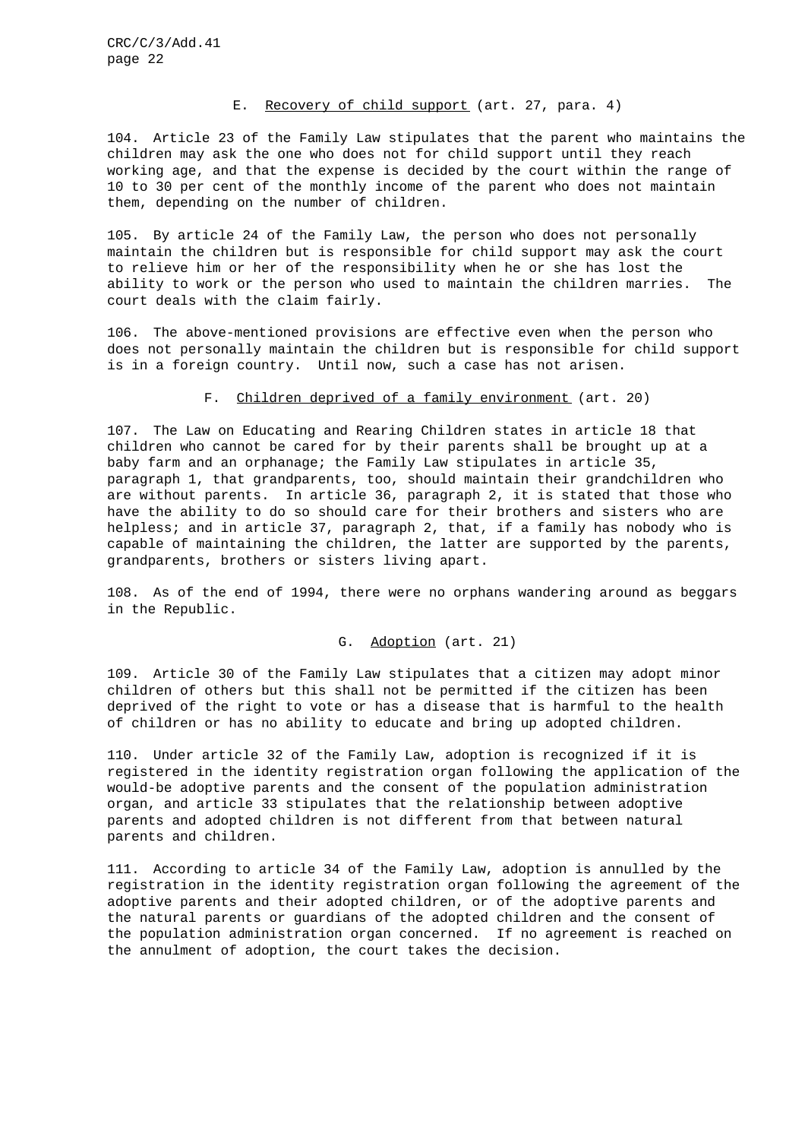#### E. Recovery of child support (art. 27, para. 4)

104. Article 23 of the Family Law stipulates that the parent who maintains the children may ask the one who does not for child support until they reach working age, and that the expense is decided by the court within the range of 10 to 30 per cent of the monthly income of the parent who does not maintain them, depending on the number of children.

105. By article 24 of the Family Law, the person who does not personally maintain the children but is responsible for child support may ask the court to relieve him or her of the responsibility when he or she has lost the ability to work or the person who used to maintain the children marries. The court deals with the claim fairly.

106. The above-mentioned provisions are effective even when the person who does not personally maintain the children but is responsible for child support is in a foreign country. Until now, such a case has not arisen.

#### F. Children deprived of a family environment (art. 20)

107. The Law on Educating and Rearing Children states in article 18 that children who cannot be cared for by their parents shall be brought up at a baby farm and an orphanage; the Family Law stipulates in article 35, paragraph 1, that grandparents, too, should maintain their grandchildren who are without parents. In article 36, paragraph 2, it is stated that those who have the ability to do so should care for their brothers and sisters who are helpless; and in article 37, paragraph 2, that, if a family has nobody who is capable of maintaining the children, the latter are supported by the parents, grandparents, brothers or sisters living apart.

108. As of the end of 1994, there were no orphans wandering around as beggars in the Republic.

G. Adoption (art. 21)

109. Article 30 of the Family Law stipulates that a citizen may adopt minor children of others but this shall not be permitted if the citizen has been deprived of the right to vote or has a disease that is harmful to the health of children or has no ability to educate and bring up adopted children.

110. Under article 32 of the Family Law, adoption is recognized if it is registered in the identity registration organ following the application of the would-be adoptive parents and the consent of the population administration organ, and article 33 stipulates that the relationship between adoptive parents and adopted children is not different from that between natural parents and children.

111. According to article 34 of the Family Law, adoption is annulled by the registration in the identity registration organ following the agreement of the adoptive parents and their adopted children, or of the adoptive parents and the natural parents or guardians of the adopted children and the consent of the population administration organ concerned. If no agreement is reached on the annulment of adoption, the court takes the decision.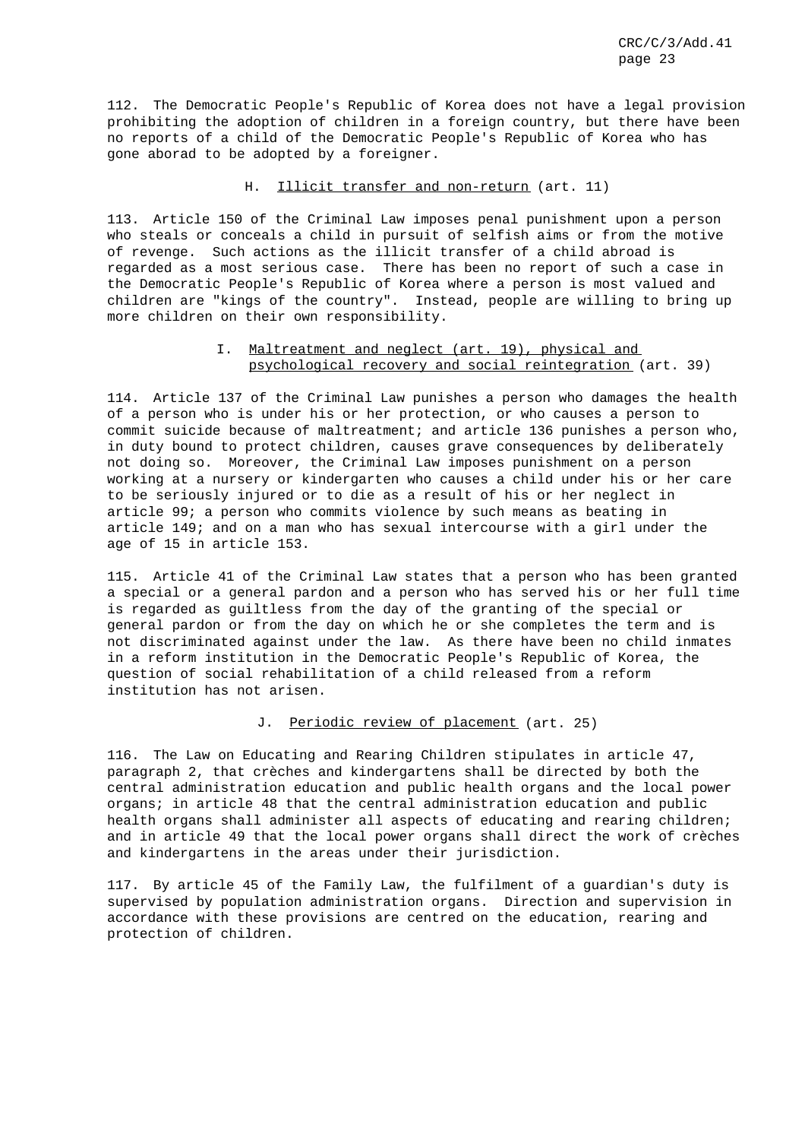112. The Democratic People's Republic of Korea does not have a legal provision prohibiting the adoption of children in a foreign country, but there have been no reports of a child of the Democratic People's Republic of Korea who has gone aborad to be adopted by a foreigner.

# H. Illicit transfer and non-return (art. 11)

113. Article 150 of the Criminal Law imposes penal punishment upon a person who steals or conceals a child in pursuit of selfish aims or from the motive of revenge. Such actions as the illicit transfer of a child abroad is regarded as a most serious case. There has been no report of such a case in the Democratic People's Republic of Korea where a person is most valued and children are "kings of the country". Instead, people are willing to bring up more children on their own responsibility.

# I. Maltreatment and neglect (art. 19), physical and psychological recovery and social reintegration (art. 39)

114. Article 137 of the Criminal Law punishes a person who damages the health of a person who is under his or her protection, or who causes a person to commit suicide because of maltreatment; and article 136 punishes a person who, in duty bound to protect children, causes grave consequences by deliberately not doing so. Moreover, the Criminal Law imposes punishment on a person working at a nursery or kindergarten who causes a child under his or her care to be seriously injured or to die as a result of his or her neglect in article 99; a person who commits violence by such means as beating in article 149; and on a man who has sexual intercourse with a girl under the age of 15 in article 153.

115. Article 41 of the Criminal Law states that a person who has been granted a special or a general pardon and a person who has served his or her full time is regarded as guiltless from the day of the granting of the special or general pardon or from the day on which he or she completes the term and is not discriminated against under the law. As there have been no child inmates in a reform institution in the Democratic People's Republic of Korea, the question of social rehabilitation of a child released from a reform institution has not arisen.

#### J. Periodic review of placement (art. 25)

116. The Law on Educating and Rearing Children stipulates in article 47, paragraph 2, that crèches and kindergartens shall be directed by both the central administration education and public health organs and the local power organs; in article 48 that the central administration education and public health organs shall administer all aspects of educating and rearing children; and in article 49 that the local power organs shall direct the work of crèches and kindergartens in the areas under their jurisdiction.

117. By article 45 of the Family Law, the fulfilment of a guardian's duty is supervised by population administration organs. Direction and supervision in accordance with these provisions are centred on the education, rearing and protection of children.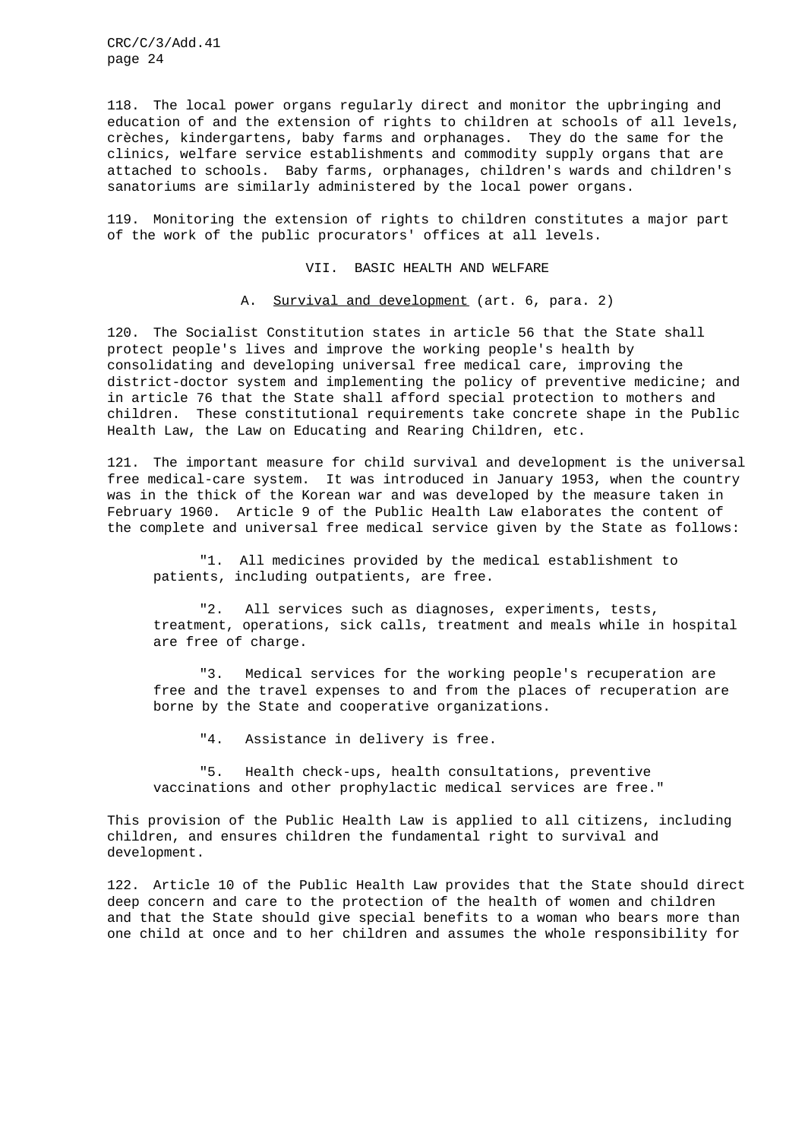118. The local power organs regularly direct and monitor the upbringing and education of and the extension of rights to children at schools of all levels, crèches, kindergartens, baby farms and orphanages. They do the same for the clinics, welfare service establishments and commodity supply organs that are attached to schools. Baby farms, orphanages, children's wards and children's sanatoriums are similarly administered by the local power organs.

119. Monitoring the extension of rights to children constitutes a major part of the work of the public procurators' offices at all levels.

VII. BASIC HEALTH AND WELFARE

A. Survival and development (art. 6, para. 2)

120. The Socialist Constitution states in article 56 that the State shall protect people's lives and improve the working people's health by consolidating and developing universal free medical care, improving the district-doctor system and implementing the policy of preventive medicine; and in article 76 that the State shall afford special protection to mothers and children. These constitutional requirements take concrete shape in the Public Health Law, the Law on Educating and Rearing Children, etc.

121. The important measure for child survival and development is the universal free medical-care system. It was introduced in January 1953, when the country was in the thick of the Korean war and was developed by the measure taken in February 1960. Article 9 of the Public Health Law elaborates the content of the complete and universal free medical service given by the State as follows:

"1. All medicines provided by the medical establishment to patients, including outpatients, are free.

"2. All services such as diagnoses, experiments, tests, treatment, operations, sick calls, treatment and meals while in hospital are free of charge.

"3. Medical services for the working people's recuperation are free and the travel expenses to and from the places of recuperation are borne by the State and cooperative organizations.

"4. Assistance in delivery is free.

"5. Health check-ups, health consultations, preventive vaccinations and other prophylactic medical services are free."

This provision of the Public Health Law is applied to all citizens, including children, and ensures children the fundamental right to survival and development.

122. Article 10 of the Public Health Law provides that the State should direct deep concern and care to the protection of the health of women and children and that the State should give special benefits to a woman who bears more than one child at once and to her children and assumes the whole responsibility for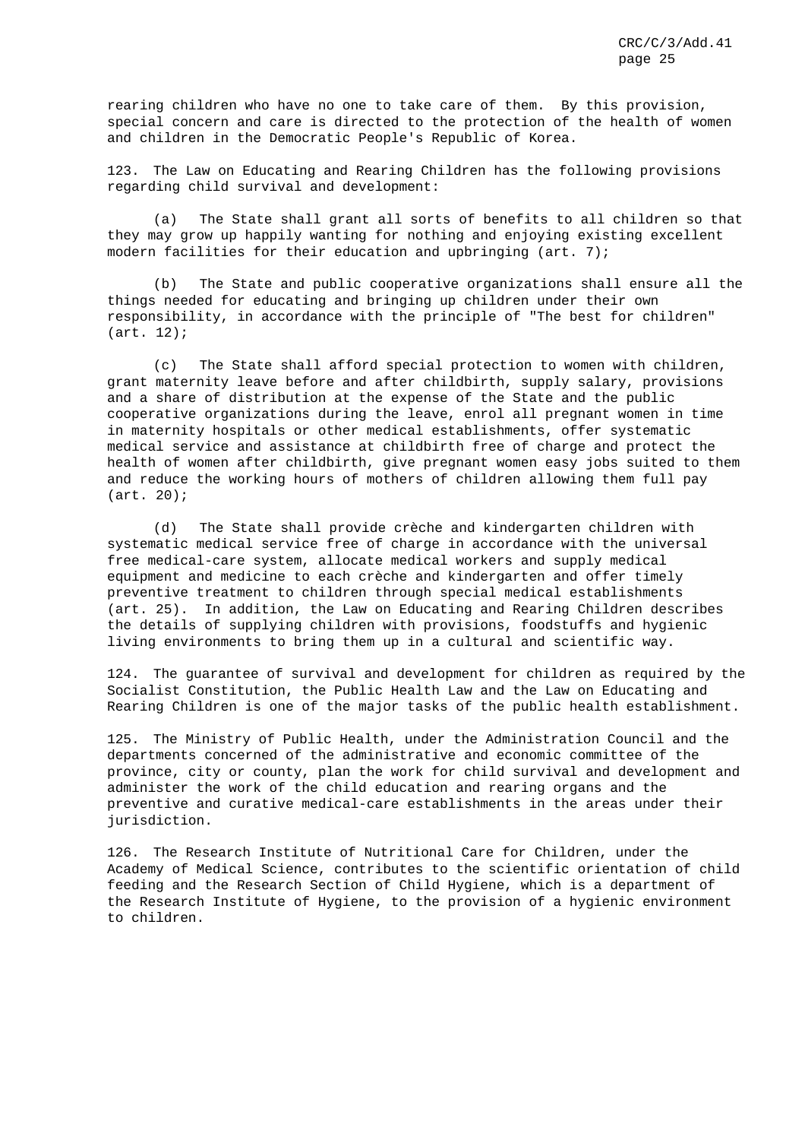rearing children who have no one to take care of them. By this provision, special concern and care is directed to the protection of the health of women and children in the Democratic People's Republic of Korea.

123. The Law on Educating and Rearing Children has the following provisions regarding child survival and development:

(a) The State shall grant all sorts of benefits to all children so that they may grow up happily wanting for nothing and enjoying existing excellent modern facilities for their education and upbringing (art. 7);

(b) The State and public cooperative organizations shall ensure all the things needed for educating and bringing up children under their own responsibility, in accordance with the principle of "The best for children" (art. 12);

(c) The State shall afford special protection to women with children, grant maternity leave before and after childbirth, supply salary, provisions and a share of distribution at the expense of the State and the public cooperative organizations during the leave, enrol all pregnant women in time in maternity hospitals or other medical establishments, offer systematic medical service and assistance at childbirth free of charge and protect the health of women after childbirth, give pregnant women easy jobs suited to them and reduce the working hours of mothers of children allowing them full pay (art. 20);

(d) The State shall provide crèche and kindergarten children with systematic medical service free of charge in accordance with the universal free medical-care system, allocate medical workers and supply medical equipment and medicine to each crèche and kindergarten and offer timely preventive treatment to children through special medical establishments (art. 25). In addition, the Law on Educating and Rearing Children describes the details of supplying children with provisions, foodstuffs and hygienic living environments to bring them up in a cultural and scientific way.

124. The guarantee of survival and development for children as required by the Socialist Constitution, the Public Health Law and the Law on Educating and Rearing Children is one of the major tasks of the public health establishment.

125. The Ministry of Public Health, under the Administration Council and the departments concerned of the administrative and economic committee of the province, city or county, plan the work for child survival and development and administer the work of the child education and rearing organs and the preventive and curative medical-care establishments in the areas under their jurisdiction.

126. The Research Institute of Nutritional Care for Children, under the Academy of Medical Science, contributes to the scientific orientation of child feeding and the Research Section of Child Hygiene, which is a department of the Research Institute of Hygiene, to the provision of a hygienic environment to children.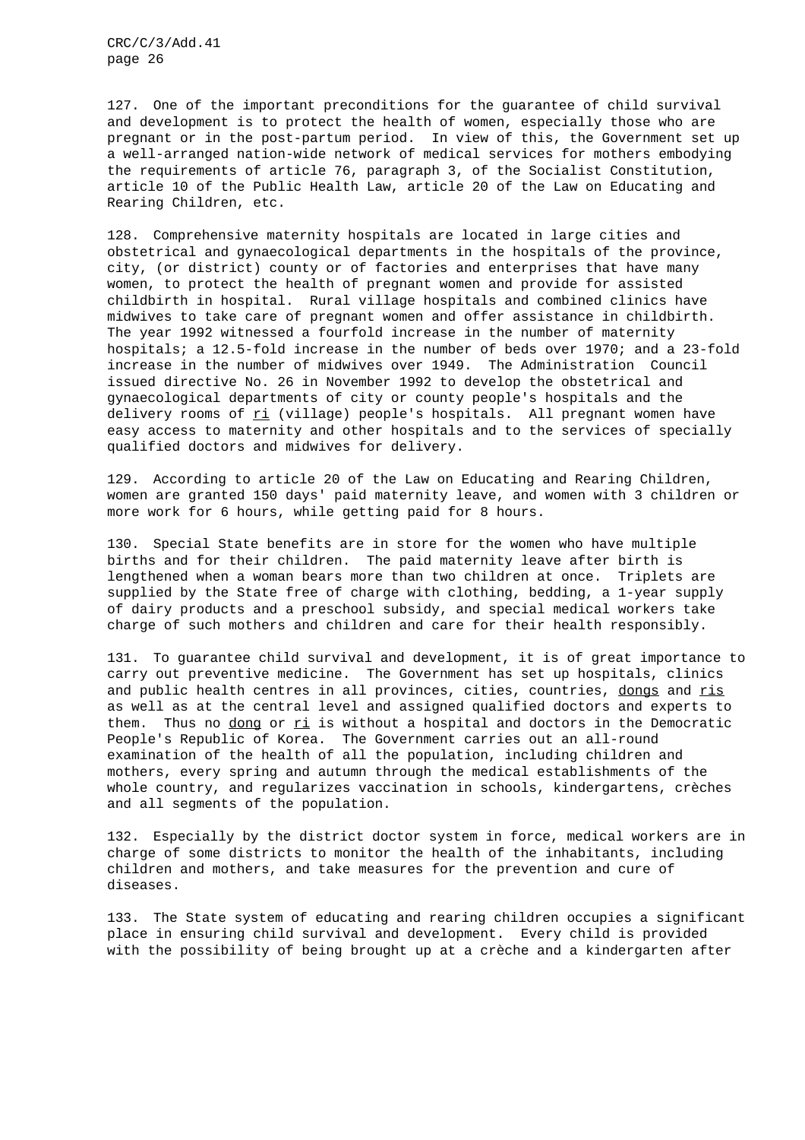127. One of the important preconditions for the guarantee of child survival and development is to protect the health of women, especially those who are pregnant or in the post-partum period. In view of this, the Government set up a well-arranged nation-wide network of medical services for mothers embodying the requirements of article 76, paragraph 3, of the Socialist Constitution, article 10 of the Public Health Law, article 20 of the Law on Educating and Rearing Children, etc.

128. Comprehensive maternity hospitals are located in large cities and obstetrical and gynaecological departments in the hospitals of the province, city, (or district) county or of factories and enterprises that have many women, to protect the health of pregnant women and provide for assisted childbirth in hospital. Rural village hospitals and combined clinics have midwives to take care of pregnant women and offer assistance in childbirth. The year 1992 witnessed a fourfold increase in the number of maternity hospitals; a 12.5-fold increase in the number of beds over 1970; and a 23-fold increase in the number of midwives over 1949. The Administration Council issued directive No. 26 in November 1992 to develop the obstetrical and gynaecological departments of city or county people's hospitals and the delivery rooms of ri (village) people's hospitals. All pregnant women have easy access to maternity and other hospitals and to the services of specially qualified doctors and midwives for delivery.

129. According to article 20 of the Law on Educating and Rearing Children, women are granted 150 days' paid maternity leave, and women with 3 children or more work for 6 hours, while getting paid for 8 hours.

130. Special State benefits are in store for the women who have multiple births and for their children. The paid maternity leave after birth is lengthened when a woman bears more than two children at once. Triplets are supplied by the State free of charge with clothing, bedding, a 1-year supply of dairy products and a preschool subsidy, and special medical workers take charge of such mothers and children and care for their health responsibly.

131. To guarantee child survival and development, it is of great importance to carry out preventive medicine. The Government has set up hospitals, clinics and public health centres in all provinces, cities, countries, dongs and ris as well as at the central level and assigned qualified doctors and experts to them. Thus no dong or ri is without a hospital and doctors in the Democratic People's Republic of Korea. The Government carries out an all-round examination of the health of all the population, including children and mothers, every spring and autumn through the medical establishments of the whole country, and regularizes vaccination in schools, kindergartens, crèches and all segments of the population.

132. Especially by the district doctor system in force, medical workers are in charge of some districts to monitor the health of the inhabitants, including children and mothers, and take measures for the prevention and cure of diseases.

133. The State system of educating and rearing children occupies a significant place in ensuring child survival and development. Every child is provided with the possibility of being brought up at a crèche and a kindergarten after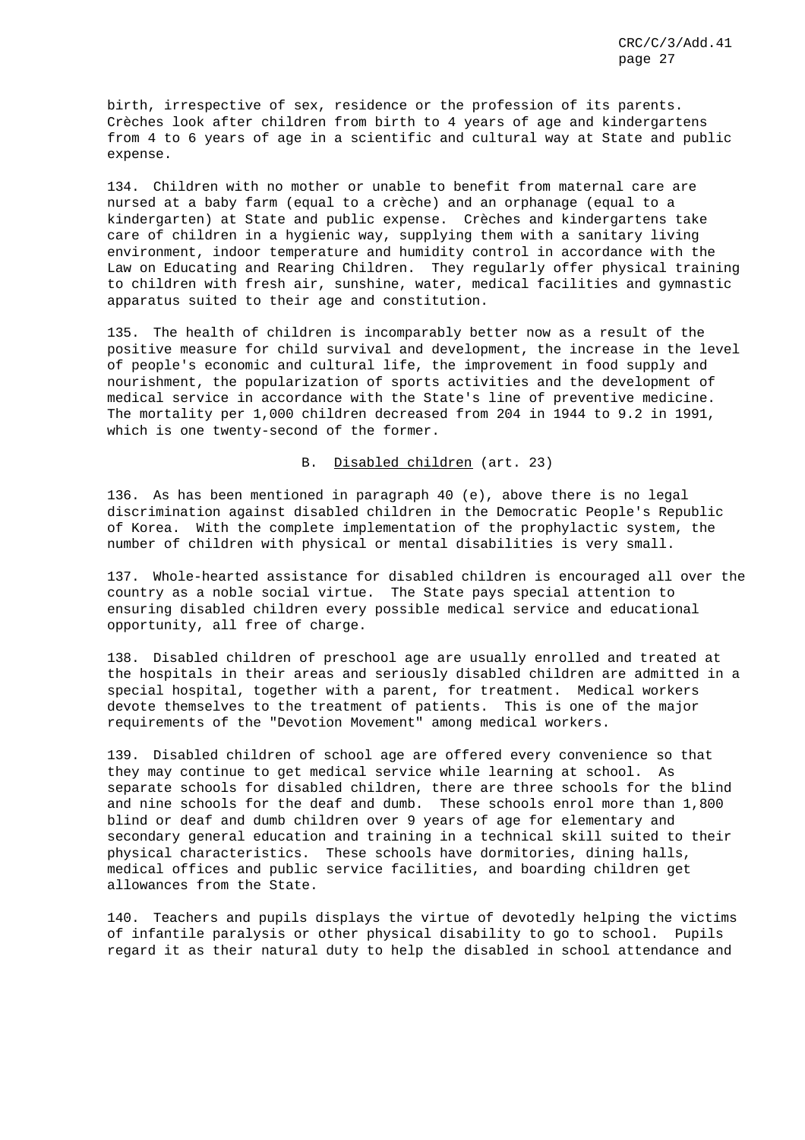birth, irrespective of sex, residence or the profession of its parents. Crèches look after children from birth to 4 years of age and kindergartens from 4 to 6 years of age in a scientific and cultural way at State and public expense.

134. Children with no mother or unable to benefit from maternal care are nursed at a baby farm (equal to a crèche) and an orphanage (equal to a kindergarten) at State and public expense. Crèches and kindergartens take care of children in a hygienic way, supplying them with a sanitary living environment, indoor temperature and humidity control in accordance with the Law on Educating and Rearing Children. They regularly offer physical training to children with fresh air, sunshine, water, medical facilities and gymnastic apparatus suited to their age and constitution.

135. The health of children is incomparably better now as a result of the positive measure for child survival and development, the increase in the level of people's economic and cultural life, the improvement in food supply and nourishment, the popularization of sports activities and the development of medical service in accordance with the State's line of preventive medicine. The mortality per 1,000 children decreased from 204 in 1944 to 9.2 in 1991, which is one twenty-second of the former.

B. Disabled children (art. 23)

136. As has been mentioned in paragraph 40 (e), above there is no legal discrimination against disabled children in the Democratic People's Republic of Korea. With the complete implementation of the prophylactic system, the number of children with physical or mental disabilities is very small.

137. Whole-hearted assistance for disabled children is encouraged all over the country as a noble social virtue. The State pays special attention to ensuring disabled children every possible medical service and educational opportunity, all free of charge.

138. Disabled children of preschool age are usually enrolled and treated at the hospitals in their areas and seriously disabled children are admitted in a special hospital, together with a parent, for treatment. Medical workers devote themselves to the treatment of patients. This is one of the major requirements of the "Devotion Movement" among medical workers.

139. Disabled children of school age are offered every convenience so that they may continue to get medical service while learning at school. As separate schools for disabled children, there are three schools for the blind and nine schools for the deaf and dumb. These schools enrol more than 1,800 blind or deaf and dumb children over 9 years of age for elementary and secondary general education and training in a technical skill suited to their physical characteristics. These schools have dormitories, dining halls, medical offices and public service facilities, and boarding children get allowances from the State.

140. Teachers and pupils displays the virtue of devotedly helping the victims of infantile paralysis or other physical disability to go to school. Pupils regard it as their natural duty to help the disabled in school attendance and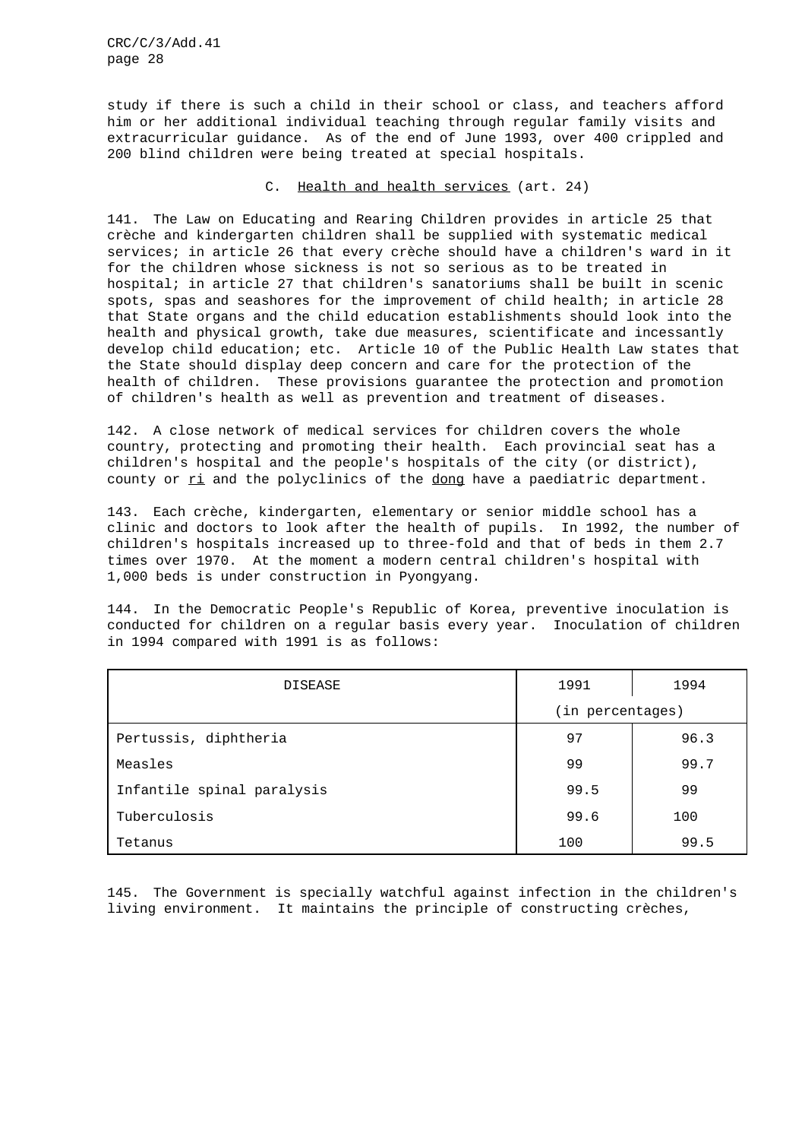study if there is such a child in their school or class, and teachers afford him or her additional individual teaching through regular family visits and extracurricular guidance. As of the end of June 1993, over 400 crippled and 200 blind children were being treated at special hospitals.

## C. Health and health services (art. 24)

141. The Law on Educating and Rearing Children provides in article 25 that crèche and kindergarten children shall be supplied with systematic medical services; in article 26 that every crèche should have a children's ward in it for the children whose sickness is not so serious as to be treated in hospital; in article 27 that children's sanatoriums shall be built in scenic spots, spas and seashores for the improvement of child health; in article 28 that State organs and the child education establishments should look into the health and physical growth, take due measures, scientificate and incessantly develop child education; etc. Article 10 of the Public Health Law states that the State should display deep concern and care for the protection of the health of children. These provisions guarantee the protection and promotion of children's health as well as prevention and treatment of diseases.

142. A close network of medical services for children covers the whole country, protecting and promoting their health. Each provincial seat has a children's hospital and the people's hospitals of the city (or district), county or  $ri$  and the polyclinics of the dong have a paediatric department.

143. Each crèche, kindergarten, elementary or senior middle school has a clinic and doctors to look after the health of pupils. In 1992, the number of children's hospitals increased up to three-fold and that of beds in them 2.7 times over 1970. At the moment a modern central children's hospital with 1,000 beds is under construction in Pyongyang.

144. In the Democratic People's Republic of Korea, preventive inoculation is conducted for children on a regular basis every year. Inoculation of children in 1994 compared with 1991 is as follows:

| <b>DISEASE</b>             | 1991             | 1994 |  |
|----------------------------|------------------|------|--|
|                            | (in percentages) |      |  |
| Pertussis, diphtheria      | 97               | 96.3 |  |
| Measles                    | 99               | 99.7 |  |
| Infantile spinal paralysis | 99.5             | 99   |  |
| Tuberculosis               | 99.6             | 100  |  |
| Tetanus                    | 100              | 99.5 |  |

145. The Government is specially watchful against infection in the children's living environment. It maintains the principle of constructing crèches,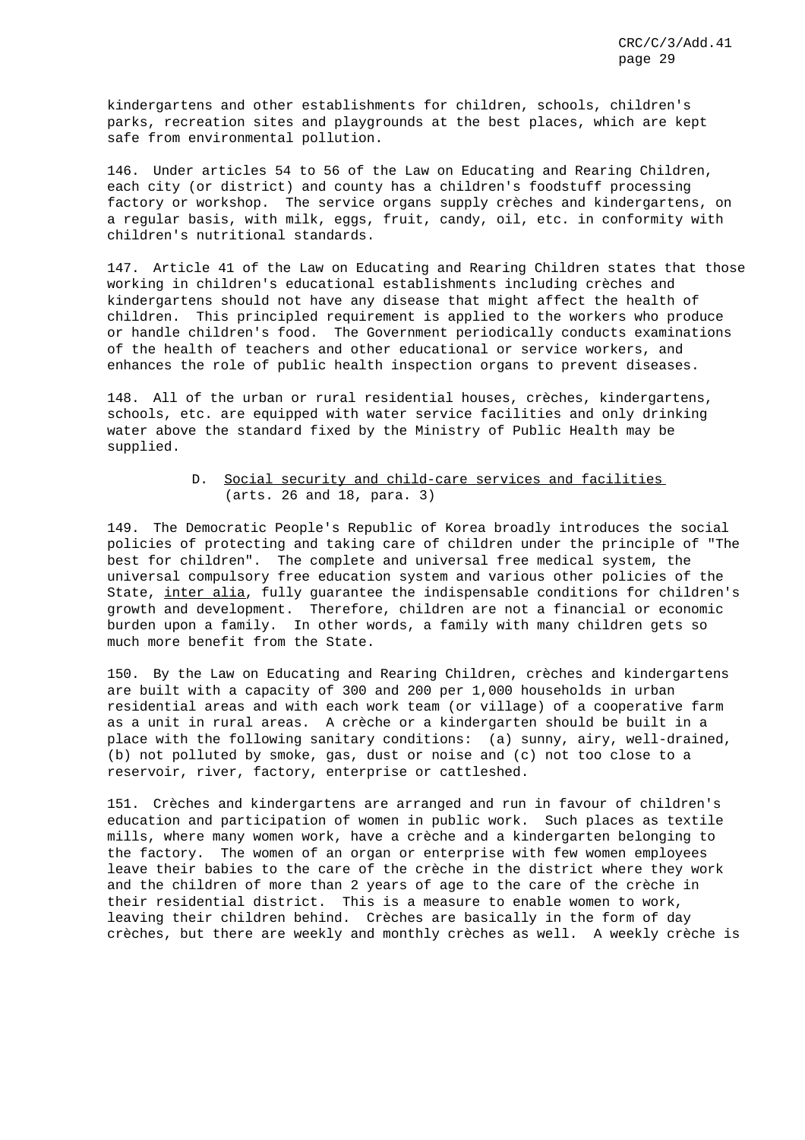kindergartens and other establishments for children, schools, children's parks, recreation sites and playgrounds at the best places, which are kept safe from environmental pollution.

146. Under articles 54 to 56 of the Law on Educating and Rearing Children, each city (or district) and county has a children's foodstuff processing factory or workshop. The service organs supply crèches and kindergartens, on a regular basis, with milk, eggs, fruit, candy, oil, etc. in conformity with children's nutritional standards.

147. Article 41 of the Law on Educating and Rearing Children states that those working in children's educational establishments including crèches and kindergartens should not have any disease that might affect the health of children. This principled requirement is applied to the workers who produce or handle children's food. The Government periodically conducts examinations of the health of teachers and other educational or service workers, and enhances the role of public health inspection organs to prevent diseases.

148. All of the urban or rural residential houses, crèches, kindergartens, schools, etc. are equipped with water service facilities and only drinking water above the standard fixed by the Ministry of Public Health may be supplied.

# D. Social security and child-care services and facilities (arts. 26 and 18, para. 3)

149. The Democratic People's Republic of Korea broadly introduces the social policies of protecting and taking care of children under the principle of "The best for children". The complete and universal free medical system, the universal compulsory free education system and various other policies of the State, inter alia, fully guarantee the indispensable conditions for children's growth and development. Therefore, children are not a financial or economic burden upon a family. In other words, a family with many children gets so much more benefit from the State.

150. By the Law on Educating and Rearing Children, crèches and kindergartens are built with a capacity of 300 and 200 per 1,000 households in urban residential areas and with each work team (or village) of a cooperative farm as a unit in rural areas. A crèche or a kindergarten should be built in a place with the following sanitary conditions: (a) sunny, airy, well-drained, (b) not polluted by smoke, gas, dust or noise and (c) not too close to a reservoir, river, factory, enterprise or cattleshed.

151. Crèches and kindergartens are arranged and run in favour of children's education and participation of women in public work. Such places as textile mills, where many women work, have a crèche and a kindergarten belonging to the factory. The women of an organ or enterprise with few women employees leave their babies to the care of the crèche in the district where they work and the children of more than 2 years of age to the care of the crèche in their residential district. This is a measure to enable women to work, leaving their children behind. Crèches are basically in the form of day crèches, but there are weekly and monthly crèches as well. A weekly crèche is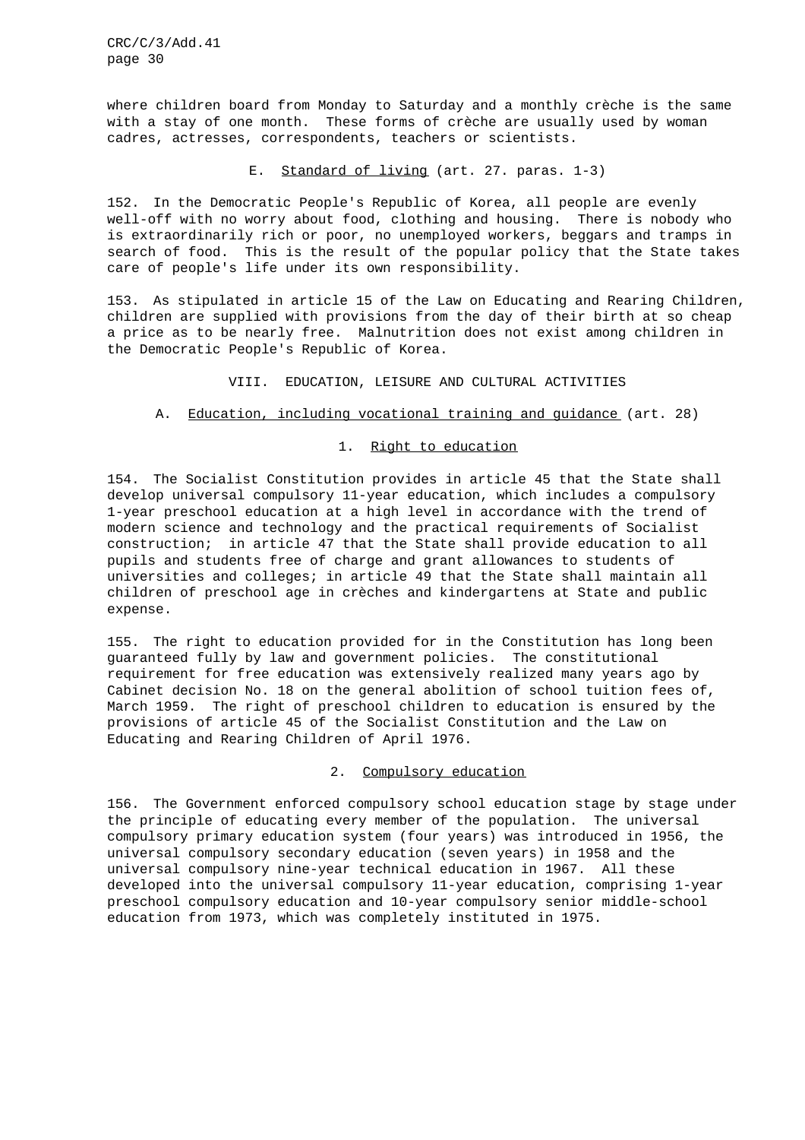where children board from Monday to Saturday and a monthly crèche is the same with a stay of one month. These forms of crèche are usually used by woman cadres, actresses, correspondents, teachers or scientists.

#### E. Standard of living (art. 27. paras. 1-3)

152. In the Democratic People's Republic of Korea, all people are evenly well-off with no worry about food, clothing and housing. There is nobody who is extraordinarily rich or poor, no unemployed workers, beggars and tramps in search of food. This is the result of the popular policy that the State takes care of people's life under its own responsibility.

153. As stipulated in article 15 of the Law on Educating and Rearing Children, children are supplied with provisions from the day of their birth at so cheap a price as to be nearly free. Malnutrition does not exist among children in the Democratic People's Republic of Korea.

## VIII. EDUCATION, LEISURE AND CULTURAL ACTIVITIES

## A. Education, including vocational training and guidance (art. 28)

# 1. Right to education

154. The Socialist Constitution provides in article 45 that the State shall develop universal compulsory 11-year education, which includes a compulsory 1-year preschool education at a high level in accordance with the trend of modern science and technology and the practical requirements of Socialist construction; in article 47 that the State shall provide education to all pupils and students free of charge and grant allowances to students of universities and colleges; in article 49 that the State shall maintain all children of preschool age in crèches and kindergartens at State and public expense.

155. The right to education provided for in the Constitution has long been guaranteed fully by law and government policies. The constitutional requirement for free education was extensively realized many years ago by Cabinet decision No. 18 on the general abolition of school tuition fees of, March 1959. The right of preschool children to education is ensured by the provisions of article 45 of the Socialist Constitution and the Law on Educating and Rearing Children of April 1976.

## 2. Compulsory education

156. The Government enforced compulsory school education stage by stage under the principle of educating every member of the population. The universal compulsory primary education system (four years) was introduced in 1956, the universal compulsory secondary education (seven years) in 1958 and the universal compulsory nine-year technical education in 1967. All these developed into the universal compulsory 11-year education, comprising 1-year preschool compulsory education and 10-year compulsory senior middle-school education from 1973, which was completely instituted in 1975.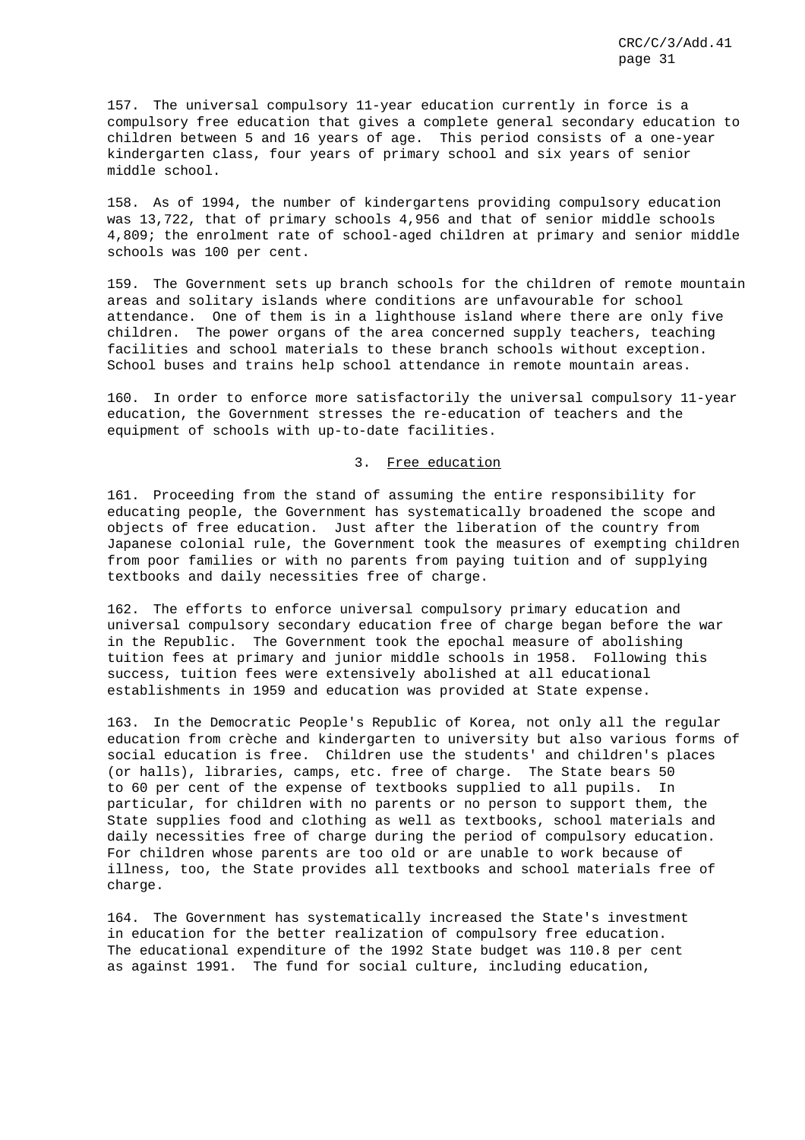157. The universal compulsory 11-year education currently in force is a compulsory free education that gives a complete general secondary education to children between 5 and 16 years of age. This period consists of a one-year kindergarten class, four years of primary school and six years of senior middle school.

158. As of 1994, the number of kindergartens providing compulsory education was 13,722, that of primary schools 4,956 and that of senior middle schools 4,809; the enrolment rate of school-aged children at primary and senior middle schools was 100 per cent.

159. The Government sets up branch schools for the children of remote mountain areas and solitary islands where conditions are unfavourable for school attendance. One of them is in a lighthouse island where there are only five children. The power organs of the area concerned supply teachers, teaching facilities and school materials to these branch schools without exception. School buses and trains help school attendance in remote mountain areas.

160. In order to enforce more satisfactorily the universal compulsory 11-year education, the Government stresses the re-education of teachers and the equipment of schools with up-to-date facilities.

#### 3. Free education

161. Proceeding from the stand of assuming the entire responsibility for educating people, the Government has systematically broadened the scope and objects of free education. Just after the liberation of the country from Japanese colonial rule, the Government took the measures of exempting children from poor families or with no parents from paying tuition and of supplying textbooks and daily necessities free of charge.

162. The efforts to enforce universal compulsory primary education and universal compulsory secondary education free of charge began before the war in the Republic. The Government took the epochal measure of abolishing tuition fees at primary and junior middle schools in 1958. Following this success, tuition fees were extensively abolished at all educational establishments in 1959 and education was provided at State expense.

163. In the Democratic People's Republic of Korea, not only all the regular education from crèche and kindergarten to university but also various forms of social education is free. Children use the students' and children's places (or halls), libraries, camps, etc. free of charge. The State bears 50 to 60 per cent of the expense of textbooks supplied to all pupils. In particular, for children with no parents or no person to support them, the State supplies food and clothing as well as textbooks, school materials and daily necessities free of charge during the period of compulsory education. For children whose parents are too old or are unable to work because of illness, too, the State provides all textbooks and school materials free of charge.

164. The Government has systematically increased the State's investment in education for the better realization of compulsory free education. The educational expenditure of the 1992 State budget was 110.8 per cent as against 1991. The fund for social culture, including education,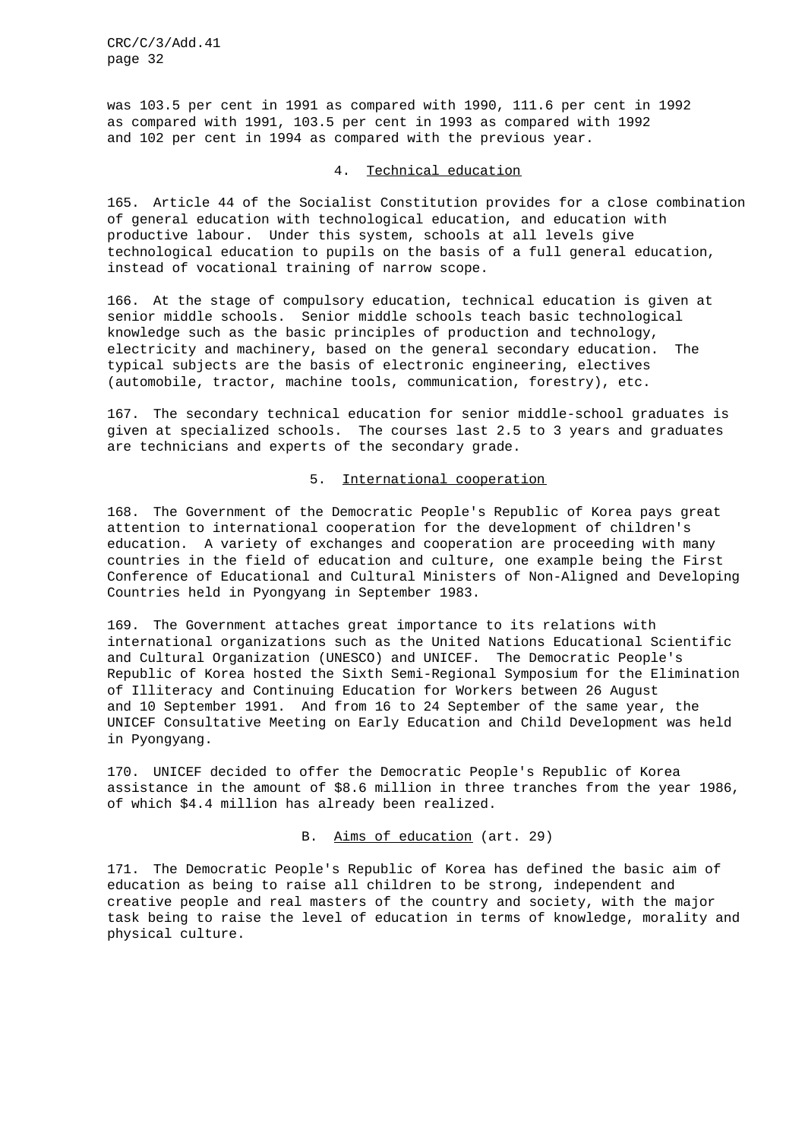was 103.5 per cent in 1991 as compared with 1990, 111.6 per cent in 1992 as compared with 1991, 103.5 per cent in 1993 as compared with 1992 and 102 per cent in 1994 as compared with the previous year.

## 4. Technical education

165. Article 44 of the Socialist Constitution provides for a close combination of general education with technological education, and education with productive labour. Under this system, schools at all levels give technological education to pupils on the basis of a full general education, instead of vocational training of narrow scope.

166. At the stage of compulsory education, technical education is given at senior middle schools. Senior middle schools teach basic technological knowledge such as the basic principles of production and technology, electricity and machinery, based on the general secondary education. The typical subjects are the basis of electronic engineering, electives (automobile, tractor, machine tools, communication, forestry), etc.

167. The secondary technical education for senior middle-school graduates is given at specialized schools. The courses last 2.5 to 3 years and graduates are technicians and experts of the secondary grade.

#### 5. International cooperation

168. The Government of the Democratic People's Republic of Korea pays great attention to international cooperation for the development of children's education. A variety of exchanges and cooperation are proceeding with many countries in the field of education and culture, one example being the First Conference of Educational and Cultural Ministers of Non-Aligned and Developing Countries held in Pyongyang in September 1983.

169. The Government attaches great importance to its relations with international organizations such as the United Nations Educational Scientific and Cultural Organization (UNESCO) and UNICEF. The Democratic People's Republic of Korea hosted the Sixth Semi-Regional Symposium for the Elimination of Illiteracy and Continuing Education for Workers between 26 August and 10 September 1991. And from 16 to 24 September of the same year, the UNICEF Consultative Meeting on Early Education and Child Development was held in Pyongyang.

170. UNICEF decided to offer the Democratic People's Republic of Korea assistance in the amount of \$8.6 million in three tranches from the year 1986, of which \$4.4 million has already been realized.

B. Aims of education (art. 29)

171. The Democratic People's Republic of Korea has defined the basic aim of education as being to raise all children to be strong, independent and creative people and real masters of the country and society, with the major task being to raise the level of education in terms of knowledge, morality and physical culture.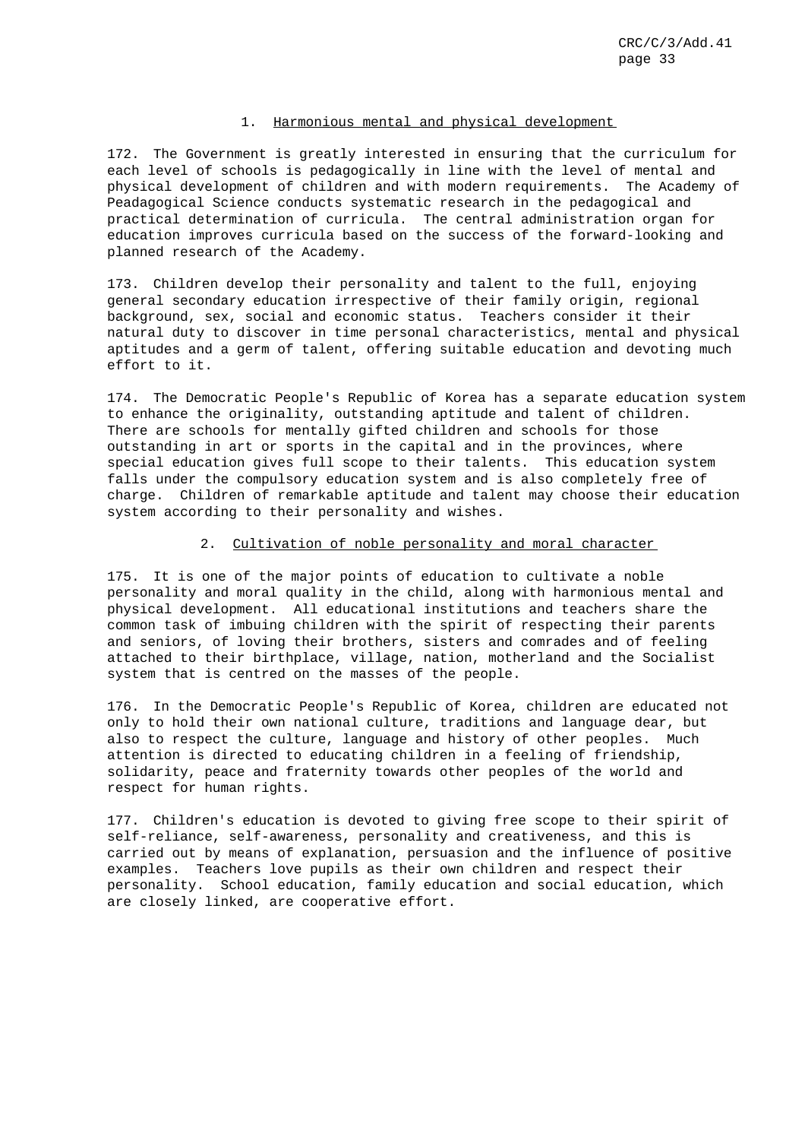## 1. Harmonious mental and physical development

172. The Government is greatly interested in ensuring that the curriculum for each level of schools is pedagogically in line with the level of mental and physical development of children and with modern requirements. The Academy of Peadagogical Science conducts systematic research in the pedagogical and practical determination of curricula. The central administration organ for education improves curricula based on the success of the forward-looking and planned research of the Academy.

173. Children develop their personality and talent to the full, enjoying general secondary education irrespective of their family origin, regional background, sex, social and economic status. Teachers consider it their natural duty to discover in time personal characteristics, mental and physical aptitudes and a germ of talent, offering suitable education and devoting much effort to it.

174. The Democratic People's Republic of Korea has a separate education system to enhance the originality, outstanding aptitude and talent of children. There are schools for mentally gifted children and schools for those outstanding in art or sports in the capital and in the provinces, where special education gives full scope to their talents. This education system falls under the compulsory education system and is also completely free of charge. Children of remarkable aptitude and talent may choose their education system according to their personality and wishes.

## 2. Cultivation of noble personality and moral character

175. It is one of the major points of education to cultivate a noble personality and moral quality in the child, along with harmonious mental and physical development. All educational institutions and teachers share the common task of imbuing children with the spirit of respecting their parents and seniors, of loving their brothers, sisters and comrades and of feeling attached to their birthplace, village, nation, motherland and the Socialist system that is centred on the masses of the people.

176. In the Democratic People's Republic of Korea, children are educated not only to hold their own national culture, traditions and language dear, but also to respect the culture, language and history of other peoples. Much attention is directed to educating children in a feeling of friendship, solidarity, peace and fraternity towards other peoples of the world and respect for human rights.

177. Children's education is devoted to giving free scope to their spirit of self-reliance, self-awareness, personality and creativeness, and this is carried out by means of explanation, persuasion and the influence of positive examples. Teachers love pupils as their own children and respect their personality. School education, family education and social education, which are closely linked, are cooperative effort.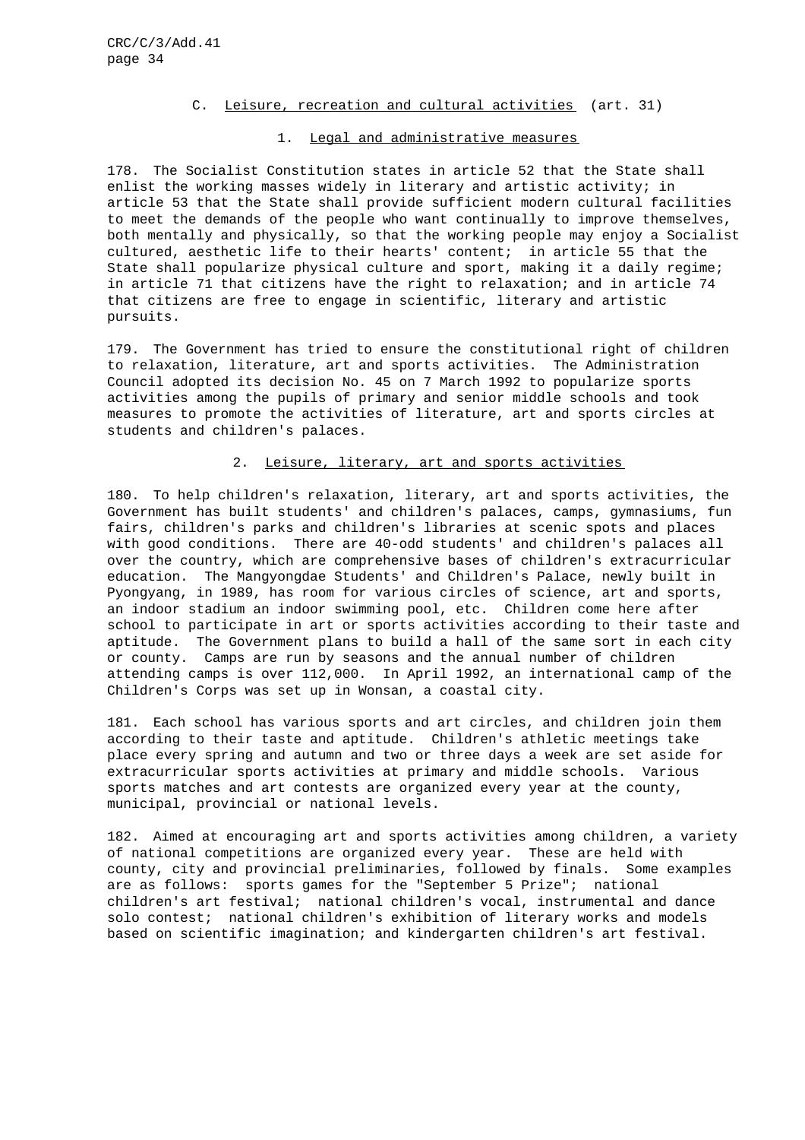#### C. Leisure, recreation and cultural activities (art. 31)

#### 1. Legal and administrative measures

178. The Socialist Constitution states in article 52 that the State shall enlist the working masses widely in literary and artistic activity; in article 53 that the State shall provide sufficient modern cultural facilities to meet the demands of the people who want continually to improve themselves, both mentally and physically, so that the working people may enjoy a Socialist cultured, aesthetic life to their hearts' content; in article 55 that the State shall popularize physical culture and sport, making it a daily regime; in article 71 that citizens have the right to relaxation; and in article 74 that citizens are free to engage in scientific, literary and artistic pursuits.

179. The Government has tried to ensure the constitutional right of children to relaxation, literature, art and sports activities. The Administration Council adopted its decision No. 45 on 7 March 1992 to popularize sports activities among the pupils of primary and senior middle schools and took measures to promote the activities of literature, art and sports circles at students and children's palaces.

#### 2. Leisure, literary, art and sports activities

180. To help children's relaxation, literary, art and sports activities, the Government has built students' and children's palaces, camps, gymnasiums, fun fairs, children's parks and children's libraries at scenic spots and places with good conditions. There are 40-odd students' and children's palaces all over the country, which are comprehensive bases of children's extracurricular education. The Mangyongdae Students' and Children's Palace, newly built in Pyongyang, in 1989, has room for various circles of science, art and sports, an indoor stadium an indoor swimming pool, etc. Children come here after school to participate in art or sports activities according to their taste and aptitude. The Government plans to build a hall of the same sort in each city or county. Camps are run by seasons and the annual number of children attending camps is over 112,000. In April 1992, an international camp of the Children's Corps was set up in Wonsan, a coastal city.

181. Each school has various sports and art circles, and children join them according to their taste and aptitude. Children's athletic meetings take place every spring and autumn and two or three days a week are set aside for extracurricular sports activities at primary and middle schools. Various sports matches and art contests are organized every year at the county, municipal, provincial or national levels.

182. Aimed at encouraging art and sports activities among children, a variety of national competitions are organized every year. These are held with county, city and provincial preliminaries, followed by finals. Some examples are as follows: sports games for the "September 5 Prize"; national children's art festival; national children's vocal, instrumental and dance solo contest; national children's exhibition of literary works and models based on scientific imagination; and kindergarten children's art festival.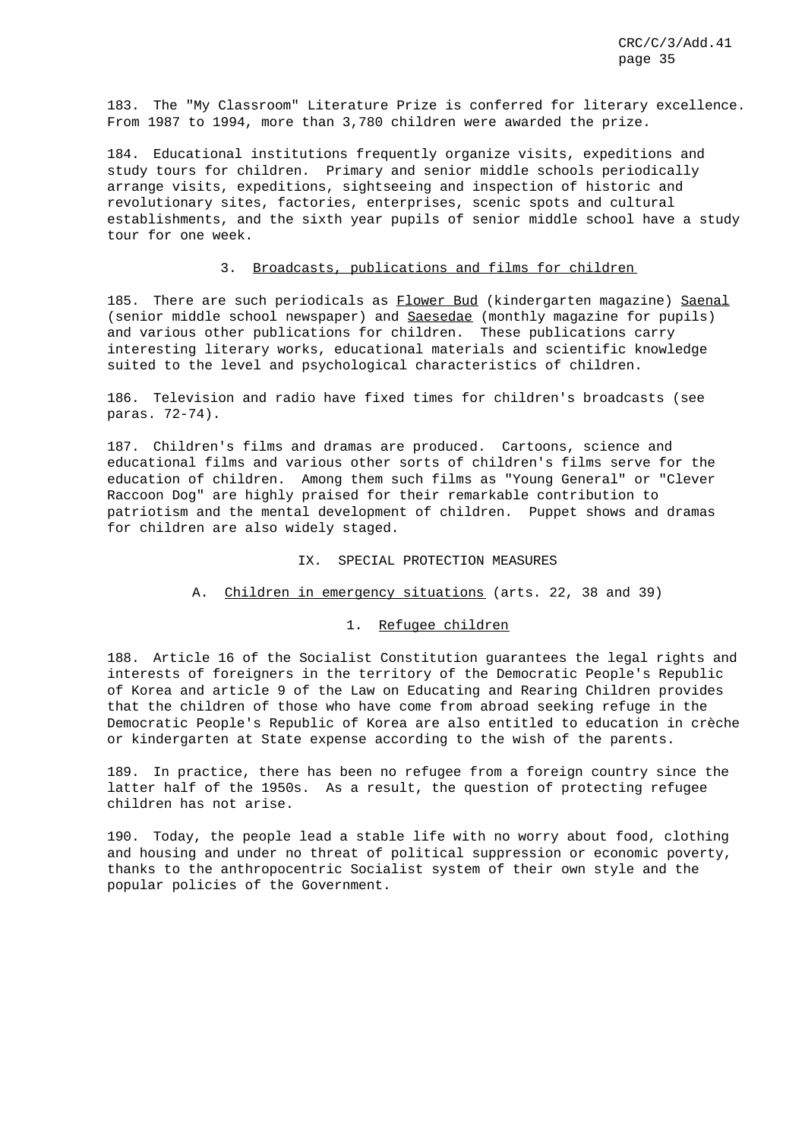183. The "My Classroom" Literature Prize is conferred for literary excellence. From 1987 to 1994, more than 3,780 children were awarded the prize.

184. Educational institutions frequently organize visits, expeditions and study tours for children. Primary and senior middle schools periodically arrange visits, expeditions, sightseeing and inspection of historic and revolutionary sites, factories, enterprises, scenic spots and cultural establishments, and the sixth year pupils of senior middle school have a study tour for one week.

#### 3. Broadcasts, publications and films for children

185. There are such periodicals as Flower Bud (kindergarten magazine) Saenal (senior middle school newspaper) and Saesedae (monthly magazine for pupils) and various other publications for children. These publications carry interesting literary works, educational materials and scientific knowledge suited to the level and psychological characteristics of children.

186. Television and radio have fixed times for children's broadcasts (see paras. 72-74).

187. Children's films and dramas are produced. Cartoons, science and educational films and various other sorts of children's films serve for the education of children. Among them such films as "Young General" or "Clever Raccoon Dog" are highly praised for their remarkable contribution to patriotism and the mental development of children. Puppet shows and dramas for children are also widely staged.

#### IX. SPECIAL PROTECTION MEASURES

## A. Children in emergency situations (arts. 22, 38 and 39)

## 1. Refugee children

188. Article 16 of the Socialist Constitution guarantees the legal rights and interests of foreigners in the territory of the Democratic People's Republic of Korea and article 9 of the Law on Educating and Rearing Children provides that the children of those who have come from abroad seeking refuge in the Democratic People's Republic of Korea are also entitled to education in crèche or kindergarten at State expense according to the wish of the parents.

189. In practice, there has been no refugee from a foreign country since the latter half of the 1950s. As a result, the question of protecting refugee children has not arise.

190. Today, the people lead a stable life with no worry about food, clothing and housing and under no threat of political suppression or economic poverty, thanks to the anthropocentric Socialist system of their own style and the popular policies of the Government.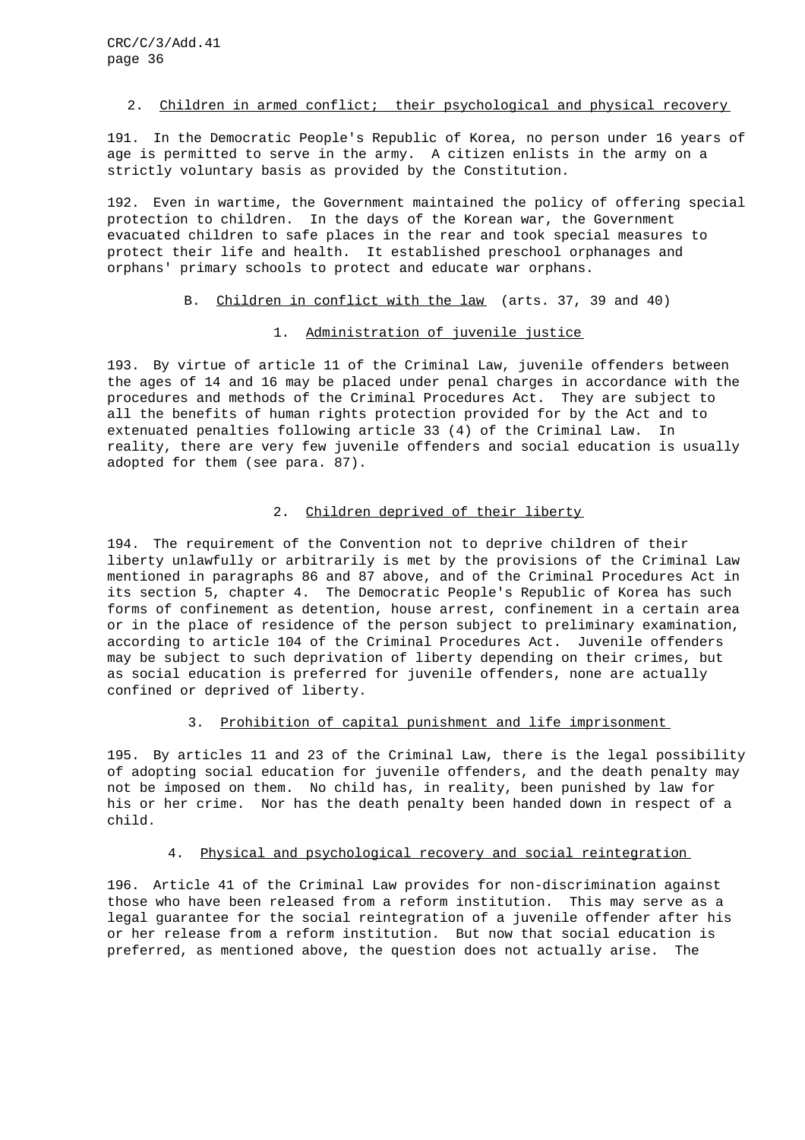## 2. Children in armed conflict; their psychological and physical recovery

191. In the Democratic People's Republic of Korea, no person under 16 years of age is permitted to serve in the army. A citizen enlists in the army on a strictly voluntary basis as provided by the Constitution.

192. Even in wartime, the Government maintained the policy of offering special protection to children. In the days of the Korean war, the Government evacuated children to safe places in the rear and took special measures to protect their life and health. It established preschool orphanages and orphans' primary schools to protect and educate war orphans.

#### B. Children in conflict with the law (arts. 37, 39 and 40)

# 1. Administration of juvenile justice

193. By virtue of article 11 of the Criminal Law, juvenile offenders between the ages of 14 and 16 may be placed under penal charges in accordance with the procedures and methods of the Criminal Procedures Act. They are subject to all the benefits of human rights protection provided for by the Act and to extenuated penalties following article 33 (4) of the Criminal Law. In reality, there are very few juvenile offenders and social education is usually adopted for them (see para. 87).

# 2. Children deprived of their liberty

194. The requirement of the Convention not to deprive children of their liberty unlawfully or arbitrarily is met by the provisions of the Criminal Law mentioned in paragraphs 86 and 87 above, and of the Criminal Procedures Act in its section 5, chapter 4. The Democratic People's Republic of Korea has such forms of confinement as detention, house arrest, confinement in a certain area or in the place of residence of the person subject to preliminary examination, according to article 104 of the Criminal Procedures Act. Juvenile offenders may be subject to such deprivation of liberty depending on their crimes, but as social education is preferred for juvenile offenders, none are actually confined or deprived of liberty.

## 3. Prohibition of capital punishment and life imprisonment

195. By articles 11 and 23 of the Criminal Law, there is the legal possibility of adopting social education for juvenile offenders, and the death penalty may not be imposed on them. No child has, in reality, been punished by law for his or her crime. Nor has the death penalty been handed down in respect of a child.

## 4. Physical and psychological recovery and social reintegration

196. Article 41 of the Criminal Law provides for non-discrimination against those who have been released from a reform institution. This may serve as a legal guarantee for the social reintegration of a juvenile offender after his or her release from a reform institution. But now that social education is preferred, as mentioned above, the question does not actually arise. The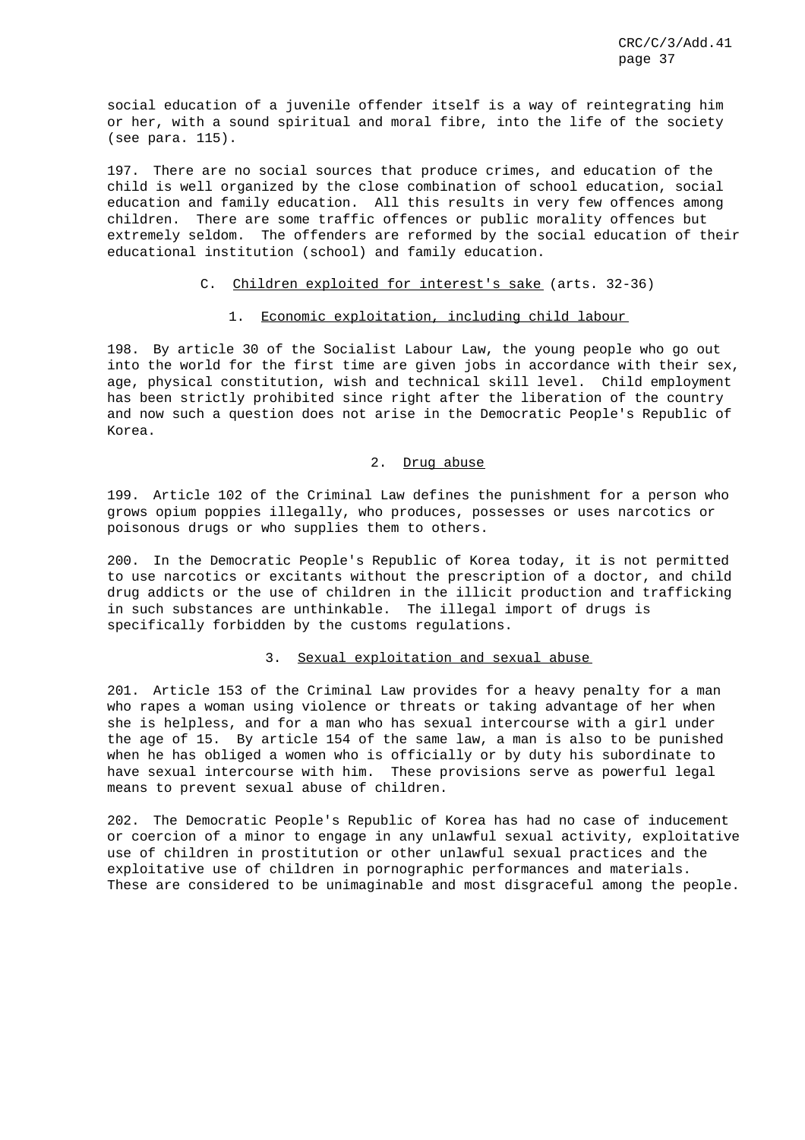social education of a juvenile offender itself is a way of reintegrating him or her, with a sound spiritual and moral fibre, into the life of the society (see para. 115).

197. There are no social sources that produce crimes, and education of the child is well organized by the close combination of school education, social education and family education. All this results in very few offences among children. There are some traffic offences or public morality offences but extremely seldom. The offenders are reformed by the social education of their educational institution (school) and family education.

## C. Children exploited for interest's sake (arts. 32-36)

# 1. Economic exploitation, including child labour

198. By article 30 of the Socialist Labour Law, the young people who go out into the world for the first time are given jobs in accordance with their sex, age, physical constitution, wish and technical skill level. Child employment has been strictly prohibited since right after the liberation of the country and now such a question does not arise in the Democratic People's Republic of Korea.

#### 2. Drug abuse

199. Article 102 of the Criminal Law defines the punishment for a person who grows opium poppies illegally, who produces, possesses or uses narcotics or poisonous drugs or who supplies them to others.

200. In the Democratic People's Republic of Korea today, it is not permitted to use narcotics or excitants without the prescription of a doctor, and child drug addicts or the use of children in the illicit production and trafficking in such substances are unthinkable. The illegal import of drugs is specifically forbidden by the customs regulations.

## 3. Sexual exploitation and sexual abuse

201. Article 153 of the Criminal Law provides for a heavy penalty for a man who rapes a woman using violence or threats or taking advantage of her when she is helpless, and for a man who has sexual intercourse with a girl under the age of 15. By article 154 of the same law, a man is also to be punished when he has obliged a women who is officially or by duty his subordinate to have sexual intercourse with him. These provisions serve as powerful legal means to prevent sexual abuse of children.

202. The Democratic People's Republic of Korea has had no case of inducement or coercion of a minor to engage in any unlawful sexual activity, exploitative use of children in prostitution or other unlawful sexual practices and the exploitative use of children in pornographic performances and materials. These are considered to be unimaginable and most disgraceful among the people.